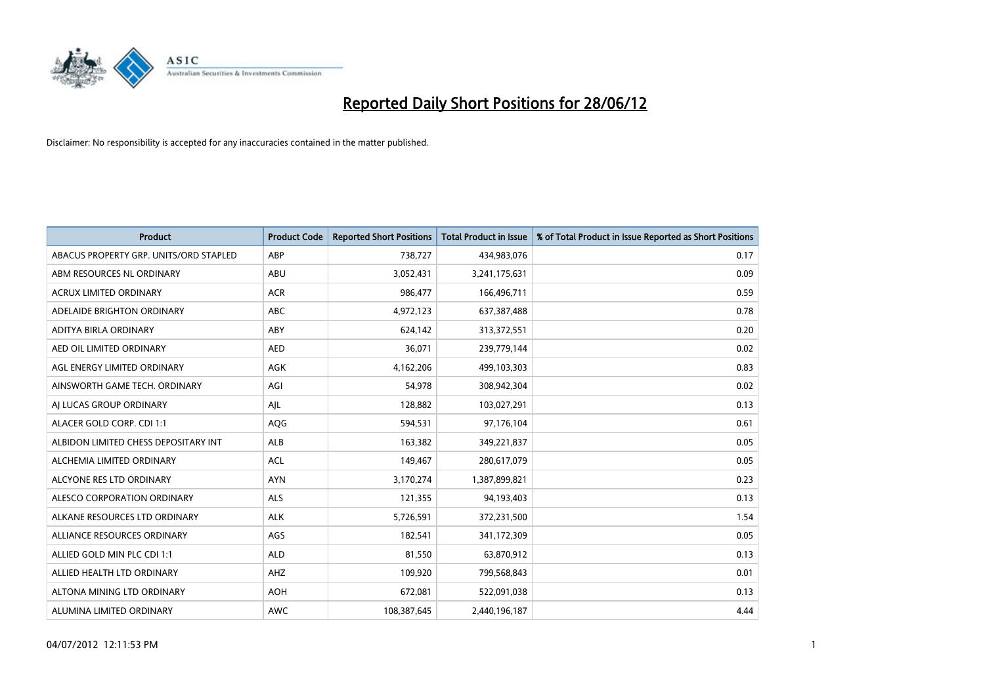

| <b>Product</b>                         | <b>Product Code</b> | <b>Reported Short Positions</b> | <b>Total Product in Issue</b> | % of Total Product in Issue Reported as Short Positions |
|----------------------------------------|---------------------|---------------------------------|-------------------------------|---------------------------------------------------------|
| ABACUS PROPERTY GRP. UNITS/ORD STAPLED | ABP                 | 738,727                         | 434,983,076                   | 0.17                                                    |
| ABM RESOURCES NL ORDINARY              | ABU                 | 3,052,431                       | 3,241,175,631                 | 0.09                                                    |
| <b>ACRUX LIMITED ORDINARY</b>          | <b>ACR</b>          | 986,477                         | 166,496,711                   | 0.59                                                    |
| ADELAIDE BRIGHTON ORDINARY             | <b>ABC</b>          | 4,972,123                       | 637,387,488                   | 0.78                                                    |
| ADITYA BIRLA ORDINARY                  | ABY                 | 624,142                         | 313,372,551                   | 0.20                                                    |
| AED OIL LIMITED ORDINARY               | <b>AED</b>          | 36,071                          | 239,779,144                   | 0.02                                                    |
| AGL ENERGY LIMITED ORDINARY            | AGK                 | 4,162,206                       | 499,103,303                   | 0.83                                                    |
| AINSWORTH GAME TECH. ORDINARY          | AGI                 | 54,978                          | 308,942,304                   | 0.02                                                    |
| AI LUCAS GROUP ORDINARY                | AJL                 | 128,882                         | 103,027,291                   | 0.13                                                    |
| ALACER GOLD CORP. CDI 1:1              | AQG                 | 594,531                         | 97,176,104                    | 0.61                                                    |
| ALBIDON LIMITED CHESS DEPOSITARY INT   | ALB                 | 163,382                         | 349,221,837                   | 0.05                                                    |
| ALCHEMIA LIMITED ORDINARY              | <b>ACL</b>          | 149,467                         | 280,617,079                   | 0.05                                                    |
| ALCYONE RES LTD ORDINARY               | <b>AYN</b>          | 3,170,274                       | 1,387,899,821                 | 0.23                                                    |
| ALESCO CORPORATION ORDINARY            | ALS                 | 121,355                         | 94,193,403                    | 0.13                                                    |
| ALKANE RESOURCES LTD ORDINARY          | <b>ALK</b>          | 5,726,591                       | 372,231,500                   | 1.54                                                    |
| ALLIANCE RESOURCES ORDINARY            | AGS                 | 182,541                         | 341,172,309                   | 0.05                                                    |
| ALLIED GOLD MIN PLC CDI 1:1            | <b>ALD</b>          | 81,550                          | 63,870,912                    | 0.13                                                    |
| ALLIED HEALTH LTD ORDINARY             | AHZ                 | 109,920                         | 799,568,843                   | 0.01                                                    |
| ALTONA MINING LTD ORDINARY             | <b>AOH</b>          | 672,081                         | 522,091,038                   | 0.13                                                    |
| ALUMINA LIMITED ORDINARY               | <b>AWC</b>          | 108,387,645                     | 2,440,196,187                 | 4.44                                                    |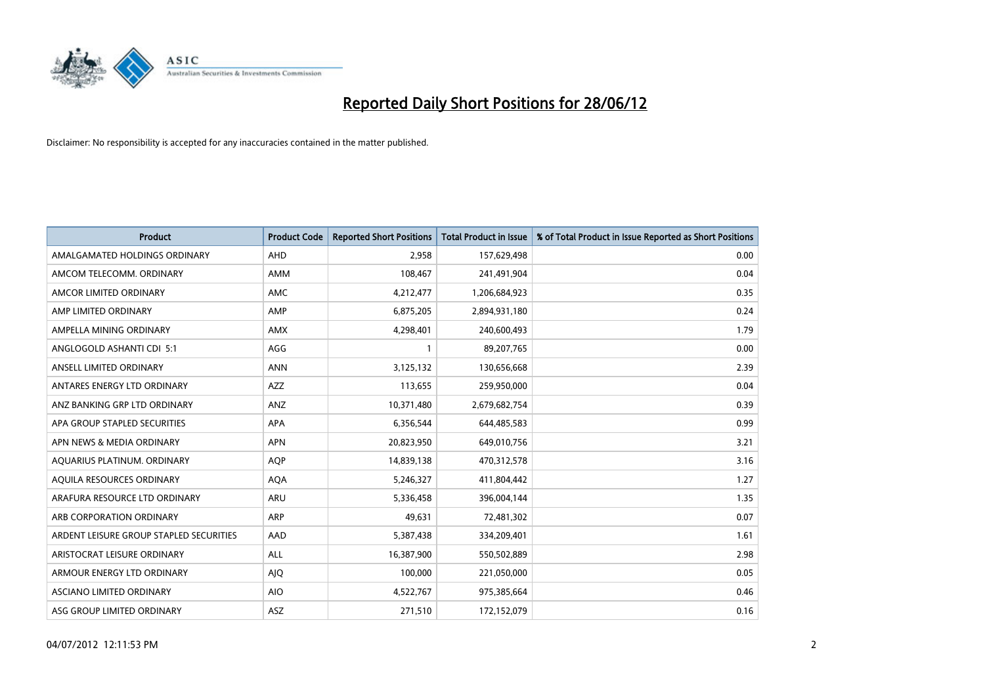

| <b>Product</b>                          | <b>Product Code</b> | <b>Reported Short Positions</b> | <b>Total Product in Issue</b> | % of Total Product in Issue Reported as Short Positions |
|-----------------------------------------|---------------------|---------------------------------|-------------------------------|---------------------------------------------------------|
| AMALGAMATED HOLDINGS ORDINARY           | AHD                 | 2,958                           | 157,629,498                   | 0.00                                                    |
| AMCOM TELECOMM. ORDINARY                | AMM                 | 108,467                         | 241,491,904                   | 0.04                                                    |
| AMCOR LIMITED ORDINARY                  | AMC                 | 4,212,477                       | 1,206,684,923                 | 0.35                                                    |
| AMP LIMITED ORDINARY                    | AMP                 | 6,875,205                       | 2,894,931,180                 | 0.24                                                    |
| AMPELLA MINING ORDINARY                 | <b>AMX</b>          | 4,298,401                       | 240,600,493                   | 1.79                                                    |
| ANGLOGOLD ASHANTI CDI 5:1               | AGG                 | $\mathbf{1}$                    | 89,207,765                    | 0.00                                                    |
| ANSELL LIMITED ORDINARY                 | <b>ANN</b>          | 3,125,132                       | 130,656,668                   | 2.39                                                    |
| ANTARES ENERGY LTD ORDINARY             | AZZ                 | 113,655                         | 259,950,000                   | 0.04                                                    |
| ANZ BANKING GRP LTD ORDINARY            | ANZ                 | 10,371,480                      | 2,679,682,754                 | 0.39                                                    |
| APA GROUP STAPLED SECURITIES            | <b>APA</b>          | 6,356,544                       | 644,485,583                   | 0.99                                                    |
| APN NEWS & MEDIA ORDINARY               | <b>APN</b>          | 20,823,950                      | 649,010,756                   | 3.21                                                    |
| AQUARIUS PLATINUM. ORDINARY             | <b>AQP</b>          | 14,839,138                      | 470,312,578                   | 3.16                                                    |
| AQUILA RESOURCES ORDINARY               | <b>AQA</b>          | 5,246,327                       | 411,804,442                   | 1.27                                                    |
| ARAFURA RESOURCE LTD ORDINARY           | ARU                 | 5,336,458                       | 396,004,144                   | 1.35                                                    |
| ARB CORPORATION ORDINARY                | ARP                 | 49,631                          | 72,481,302                    | 0.07                                                    |
| ARDENT LEISURE GROUP STAPLED SECURITIES | AAD                 | 5,387,438                       | 334,209,401                   | 1.61                                                    |
| ARISTOCRAT LEISURE ORDINARY             | ALL                 | 16,387,900                      | 550,502,889                   | 2.98                                                    |
| ARMOUR ENERGY LTD ORDINARY              | <b>AJQ</b>          | 100,000                         | 221,050,000                   | 0.05                                                    |
| ASCIANO LIMITED ORDINARY                | <b>AIO</b>          | 4,522,767                       | 975,385,664                   | 0.46                                                    |
| ASG GROUP LIMITED ORDINARY              | ASZ                 | 271,510                         | 172,152,079                   | 0.16                                                    |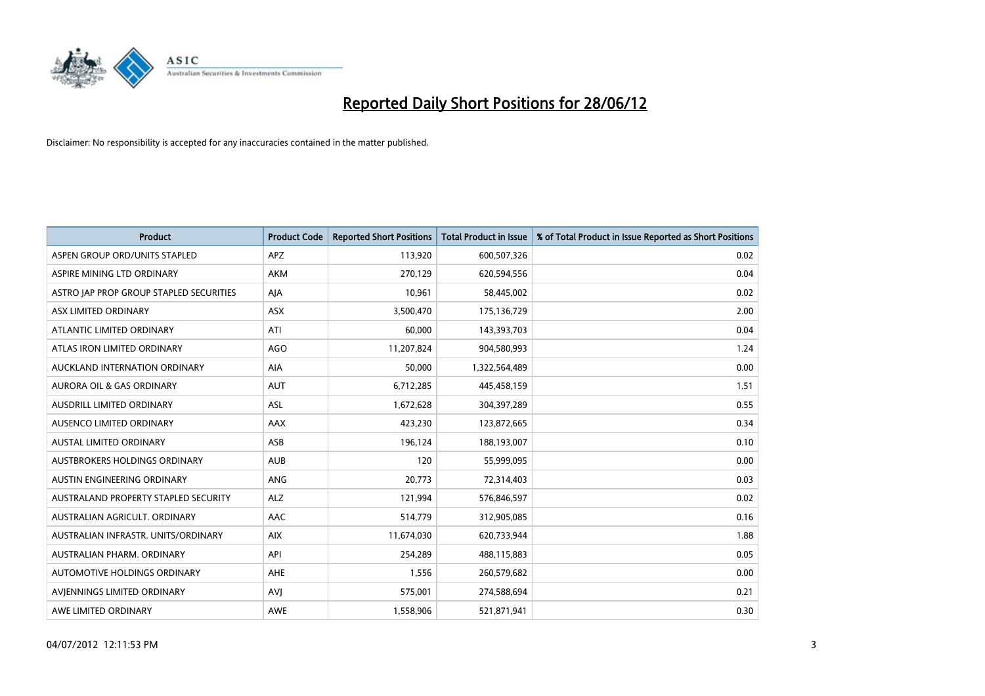

| <b>Product</b>                          | <b>Product Code</b> | <b>Reported Short Positions</b> | <b>Total Product in Issue</b> | % of Total Product in Issue Reported as Short Positions |
|-----------------------------------------|---------------------|---------------------------------|-------------------------------|---------------------------------------------------------|
| ASPEN GROUP ORD/UNITS STAPLED           | <b>APZ</b>          | 113,920                         | 600,507,326                   | 0.02                                                    |
| ASPIRE MINING LTD ORDINARY              | <b>AKM</b>          | 270,129                         | 620,594,556                   | 0.04                                                    |
| ASTRO JAP PROP GROUP STAPLED SECURITIES | AJA                 | 10,961                          | 58,445,002                    | 0.02                                                    |
| ASX LIMITED ORDINARY                    | ASX                 | 3,500,470                       | 175,136,729                   | 2.00                                                    |
| ATLANTIC LIMITED ORDINARY               | ATI                 | 60,000                          | 143,393,703                   | 0.04                                                    |
| ATLAS IRON LIMITED ORDINARY             | AGO                 | 11,207,824                      | 904,580,993                   | 1.24                                                    |
| AUCKLAND INTERNATION ORDINARY           | AIA                 | 50,000                          | 1,322,564,489                 | 0.00                                                    |
| AURORA OIL & GAS ORDINARY               | <b>AUT</b>          | 6,712,285                       | 445,458,159                   | 1.51                                                    |
| AUSDRILL LIMITED ORDINARY               | <b>ASL</b>          | 1,672,628                       | 304,397,289                   | 0.55                                                    |
| AUSENCO LIMITED ORDINARY                | AAX                 | 423,230                         | 123,872,665                   | 0.34                                                    |
| AUSTAL LIMITED ORDINARY                 | ASB                 | 196,124                         | 188,193,007                   | 0.10                                                    |
| AUSTBROKERS HOLDINGS ORDINARY           | <b>AUB</b>          | 120                             | 55,999,095                    | 0.00                                                    |
| AUSTIN ENGINEERING ORDINARY             | ANG                 | 20,773                          | 72,314,403                    | 0.03                                                    |
| AUSTRALAND PROPERTY STAPLED SECURITY    | <b>ALZ</b>          | 121,994                         | 576,846,597                   | 0.02                                                    |
| AUSTRALIAN AGRICULT, ORDINARY           | <b>AAC</b>          | 514,779                         | 312,905,085                   | 0.16                                                    |
| AUSTRALIAN INFRASTR. UNITS/ORDINARY     | <b>AIX</b>          | 11,674,030                      | 620,733,944                   | 1.88                                                    |
| AUSTRALIAN PHARM. ORDINARY              | API                 | 254,289                         | 488,115,883                   | 0.05                                                    |
| AUTOMOTIVE HOLDINGS ORDINARY            | AHE                 | 1,556                           | 260,579,682                   | 0.00                                                    |
| AVIENNINGS LIMITED ORDINARY             | <b>AVI</b>          | 575,001                         | 274,588,694                   | 0.21                                                    |
| AWE LIMITED ORDINARY                    | <b>AWE</b>          | 1,558,906                       | 521,871,941                   | 0.30                                                    |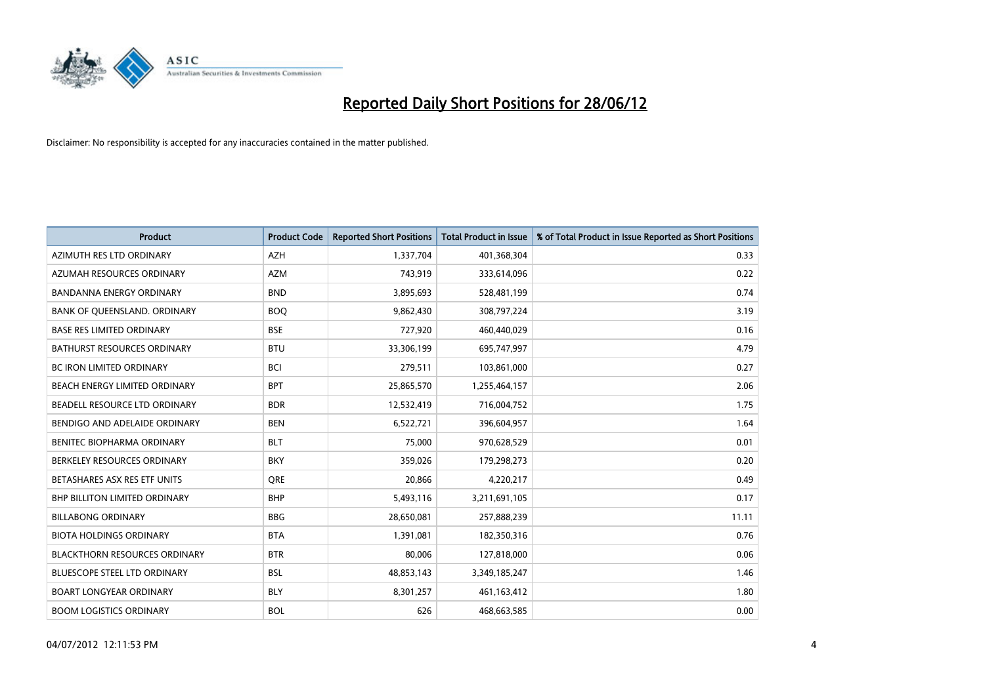

| <b>Product</b>                       | <b>Product Code</b> | <b>Reported Short Positions</b> | <b>Total Product in Issue</b> | % of Total Product in Issue Reported as Short Positions |
|--------------------------------------|---------------------|---------------------------------|-------------------------------|---------------------------------------------------------|
| AZIMUTH RES LTD ORDINARY             | <b>AZH</b>          | 1,337,704                       | 401,368,304                   | 0.33                                                    |
| AZUMAH RESOURCES ORDINARY            | <b>AZM</b>          | 743,919                         | 333,614,096                   | 0.22                                                    |
| <b>BANDANNA ENERGY ORDINARY</b>      | <b>BND</b>          | 3,895,693                       | 528,481,199                   | 0.74                                                    |
| BANK OF QUEENSLAND. ORDINARY         | <b>BOQ</b>          | 9,862,430                       | 308,797,224                   | 3.19                                                    |
| <b>BASE RES LIMITED ORDINARY</b>     | <b>BSE</b>          | 727,920                         | 460,440,029                   | 0.16                                                    |
| <b>BATHURST RESOURCES ORDINARY</b>   | <b>BTU</b>          | 33,306,199                      | 695,747,997                   | 4.79                                                    |
| <b>BC IRON LIMITED ORDINARY</b>      | <b>BCI</b>          | 279,511                         | 103,861,000                   | 0.27                                                    |
| BEACH ENERGY LIMITED ORDINARY        | <b>BPT</b>          | 25,865,570                      | 1,255,464,157                 | 2.06                                                    |
| BEADELL RESOURCE LTD ORDINARY        | <b>BDR</b>          | 12,532,419                      | 716,004,752                   | 1.75                                                    |
| BENDIGO AND ADELAIDE ORDINARY        | <b>BEN</b>          | 6,522,721                       | 396,604,957                   | 1.64                                                    |
| BENITEC BIOPHARMA ORDINARY           | <b>BLT</b>          | 75,000                          | 970,628,529                   | 0.01                                                    |
| BERKELEY RESOURCES ORDINARY          | <b>BKY</b>          | 359,026                         | 179,298,273                   | 0.20                                                    |
| BETASHARES ASX RES ETF UNITS         | <b>ORE</b>          | 20,866                          | 4,220,217                     | 0.49                                                    |
| <b>BHP BILLITON LIMITED ORDINARY</b> | <b>BHP</b>          | 5,493,116                       | 3,211,691,105                 | 0.17                                                    |
| <b>BILLABONG ORDINARY</b>            | <b>BBG</b>          | 28,650,081                      | 257,888,239                   | 11.11                                                   |
| <b>BIOTA HOLDINGS ORDINARY</b>       | <b>BTA</b>          | 1,391,081                       | 182,350,316                   | 0.76                                                    |
| <b>BLACKTHORN RESOURCES ORDINARY</b> | <b>BTR</b>          | 80,006                          | 127,818,000                   | 0.06                                                    |
| BLUESCOPE STEEL LTD ORDINARY         | <b>BSL</b>          | 48,853,143                      | 3,349,185,247                 | 1.46                                                    |
| <b>BOART LONGYEAR ORDINARY</b>       | <b>BLY</b>          | 8,301,257                       | 461,163,412                   | 1.80                                                    |
| <b>BOOM LOGISTICS ORDINARY</b>       | <b>BOL</b>          | 626                             | 468,663,585                   | 0.00                                                    |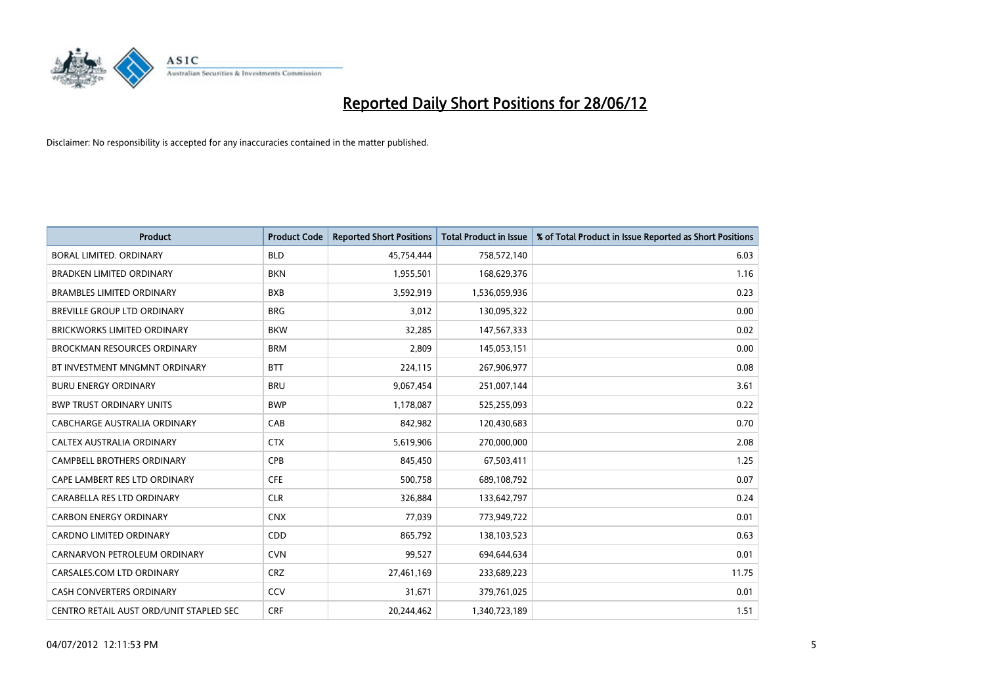

| <b>Product</b>                          | <b>Product Code</b> | <b>Reported Short Positions</b> | <b>Total Product in Issue</b> | % of Total Product in Issue Reported as Short Positions |
|-----------------------------------------|---------------------|---------------------------------|-------------------------------|---------------------------------------------------------|
| <b>BORAL LIMITED, ORDINARY</b>          | <b>BLD</b>          | 45,754,444                      | 758,572,140                   | 6.03                                                    |
| <b>BRADKEN LIMITED ORDINARY</b>         | <b>BKN</b>          | 1,955,501                       | 168,629,376                   | 1.16                                                    |
| <b>BRAMBLES LIMITED ORDINARY</b>        | <b>BXB</b>          | 3,592,919                       | 1,536,059,936                 | 0.23                                                    |
| <b>BREVILLE GROUP LTD ORDINARY</b>      | <b>BRG</b>          | 3,012                           | 130,095,322                   | 0.00                                                    |
| <b>BRICKWORKS LIMITED ORDINARY</b>      | <b>BKW</b>          | 32,285                          | 147,567,333                   | 0.02                                                    |
| <b>BROCKMAN RESOURCES ORDINARY</b>      | <b>BRM</b>          | 2,809                           | 145,053,151                   | 0.00                                                    |
| BT INVESTMENT MNGMNT ORDINARY           | <b>BTT</b>          | 224,115                         | 267,906,977                   | 0.08                                                    |
| <b>BURU ENERGY ORDINARY</b>             | <b>BRU</b>          | 9,067,454                       | 251,007,144                   | 3.61                                                    |
| <b>BWP TRUST ORDINARY UNITS</b>         | <b>BWP</b>          | 1,178,087                       | 525,255,093                   | 0.22                                                    |
| <b>CABCHARGE AUSTRALIA ORDINARY</b>     | CAB                 | 842,982                         | 120,430,683                   | 0.70                                                    |
| CALTEX AUSTRALIA ORDINARY               | <b>CTX</b>          | 5,619,906                       | 270,000,000                   | 2.08                                                    |
| <b>CAMPBELL BROTHERS ORDINARY</b>       | <b>CPB</b>          | 845,450                         | 67,503,411                    | 1.25                                                    |
| CAPE LAMBERT RES LTD ORDINARY           | <b>CFE</b>          | 500,758                         | 689,108,792                   | 0.07                                                    |
| CARABELLA RES LTD ORDINARY              | <b>CLR</b>          | 326,884                         | 133,642,797                   | 0.24                                                    |
| <b>CARBON ENERGY ORDINARY</b>           | <b>CNX</b>          | 77,039                          | 773,949,722                   | 0.01                                                    |
| CARDNO LIMITED ORDINARY                 | CDD                 | 865,792                         | 138,103,523                   | 0.63                                                    |
| CARNARVON PETROLEUM ORDINARY            | <b>CVN</b>          | 99,527                          | 694,644,634                   | 0.01                                                    |
| CARSALES.COM LTD ORDINARY               | <b>CRZ</b>          | 27,461,169                      | 233,689,223                   | 11.75                                                   |
| <b>CASH CONVERTERS ORDINARY</b>         | CCV                 | 31,671                          | 379,761,025                   | 0.01                                                    |
| CENTRO RETAIL AUST ORD/UNIT STAPLED SEC | <b>CRF</b>          | 20,244,462                      | 1,340,723,189                 | 1.51                                                    |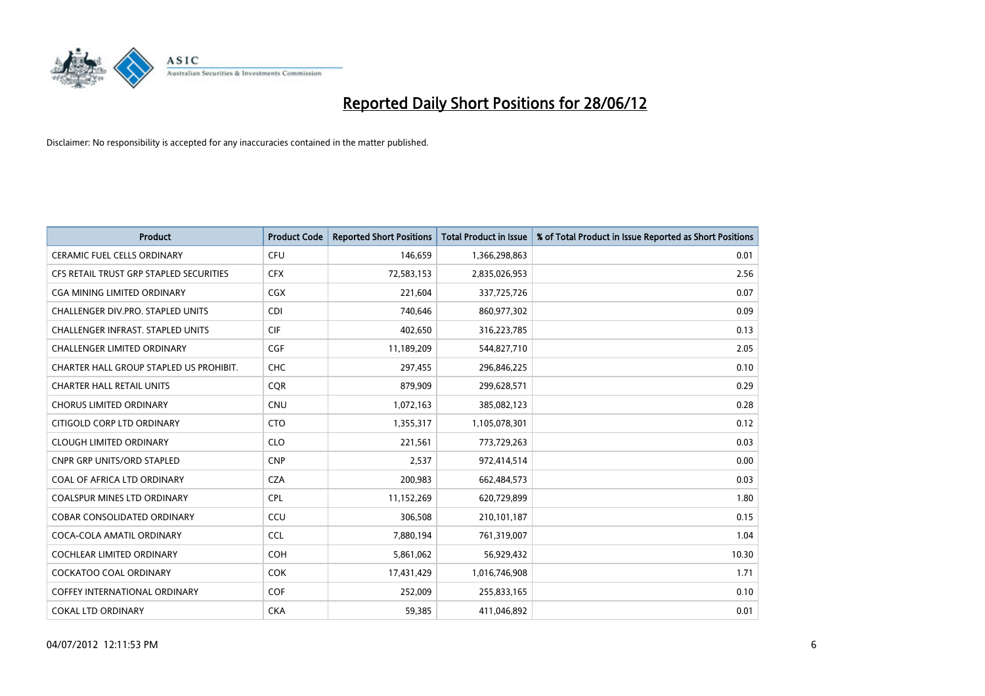

| <b>Product</b>                          | <b>Product Code</b> | <b>Reported Short Positions</b> | <b>Total Product in Issue</b> | % of Total Product in Issue Reported as Short Positions |
|-----------------------------------------|---------------------|---------------------------------|-------------------------------|---------------------------------------------------------|
| <b>CERAMIC FUEL CELLS ORDINARY</b>      | <b>CFU</b>          | 146,659                         | 1,366,298,863                 | 0.01                                                    |
| CFS RETAIL TRUST GRP STAPLED SECURITIES | <b>CFX</b>          | 72,583,153                      | 2,835,026,953                 | 2.56                                                    |
| CGA MINING LIMITED ORDINARY             | CGX                 | 221,604                         | 337,725,726                   | 0.07                                                    |
| CHALLENGER DIV.PRO. STAPLED UNITS       | <b>CDI</b>          | 740,646                         | 860,977,302                   | 0.09                                                    |
| CHALLENGER INFRAST. STAPLED UNITS       | <b>CIF</b>          | 402,650                         | 316,223,785                   | 0.13                                                    |
| <b>CHALLENGER LIMITED ORDINARY</b>      | <b>CGF</b>          | 11,189,209                      | 544,827,710                   | 2.05                                                    |
| CHARTER HALL GROUP STAPLED US PROHIBIT. | <b>CHC</b>          | 297,455                         | 296,846,225                   | 0.10                                                    |
| <b>CHARTER HALL RETAIL UNITS</b>        | <b>CQR</b>          | 879,909                         | 299,628,571                   | 0.29                                                    |
| <b>CHORUS LIMITED ORDINARY</b>          | <b>CNU</b>          | 1,072,163                       | 385,082,123                   | 0.28                                                    |
| CITIGOLD CORP LTD ORDINARY              | <b>CTO</b>          | 1,355,317                       | 1,105,078,301                 | 0.12                                                    |
| <b>CLOUGH LIMITED ORDINARY</b>          | <b>CLO</b>          | 221,561                         | 773,729,263                   | 0.03                                                    |
| <b>CNPR GRP UNITS/ORD STAPLED</b>       | <b>CNP</b>          | 2,537                           | 972,414,514                   | 0.00                                                    |
| COAL OF AFRICA LTD ORDINARY             | <b>CZA</b>          | 200,983                         | 662,484,573                   | 0.03                                                    |
| <b>COALSPUR MINES LTD ORDINARY</b>      | <b>CPL</b>          | 11,152,269                      | 620,729,899                   | 1.80                                                    |
| <b>COBAR CONSOLIDATED ORDINARY</b>      | CCU                 | 306,508                         | 210,101,187                   | 0.15                                                    |
| COCA-COLA AMATIL ORDINARY               | <b>CCL</b>          | 7,880,194                       | 761,319,007                   | 1.04                                                    |
| <b>COCHLEAR LIMITED ORDINARY</b>        | <b>COH</b>          | 5,861,062                       | 56,929,432                    | 10.30                                                   |
| <b>COCKATOO COAL ORDINARY</b>           | <b>COK</b>          | 17,431,429                      | 1,016,746,908                 | 1.71                                                    |
| <b>COFFEY INTERNATIONAL ORDINARY</b>    | <b>COF</b>          | 252,009                         | 255,833,165                   | 0.10                                                    |
| <b>COKAL LTD ORDINARY</b>               | <b>CKA</b>          | 59.385                          | 411,046,892                   | 0.01                                                    |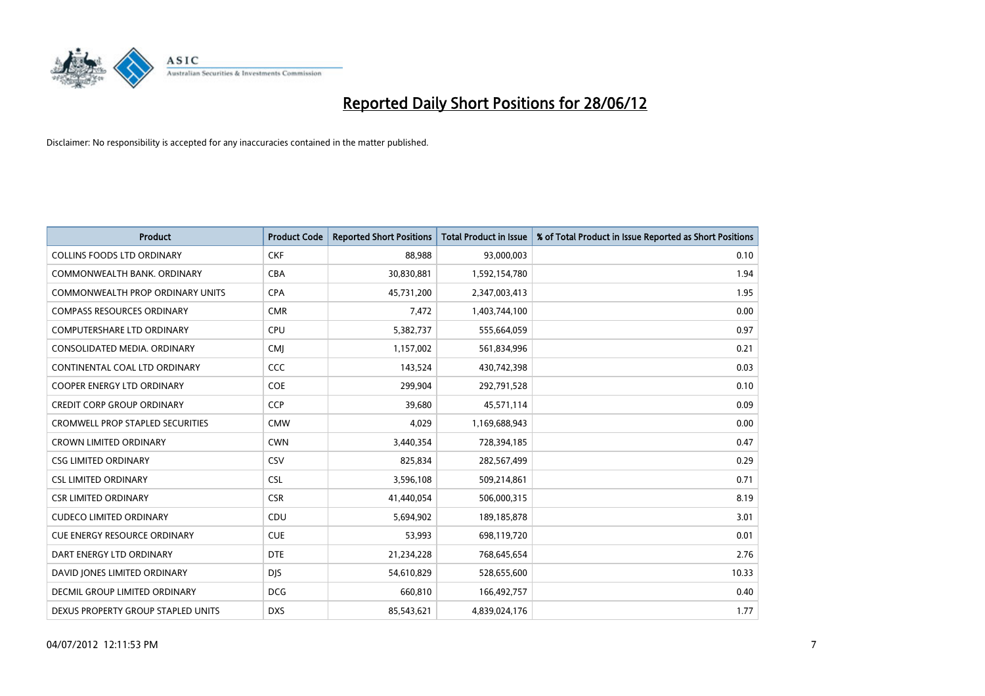

| <b>Product</b>                          | <b>Product Code</b> | <b>Reported Short Positions</b> | <b>Total Product in Issue</b> | % of Total Product in Issue Reported as Short Positions |
|-----------------------------------------|---------------------|---------------------------------|-------------------------------|---------------------------------------------------------|
| <b>COLLINS FOODS LTD ORDINARY</b>       | <b>CKF</b>          | 88,988                          | 93,000,003                    | 0.10                                                    |
| COMMONWEALTH BANK, ORDINARY             | <b>CBA</b>          | 30,830,881                      | 1,592,154,780                 | 1.94                                                    |
| COMMONWEALTH PROP ORDINARY UNITS        | <b>CPA</b>          | 45,731,200                      | 2,347,003,413                 | 1.95                                                    |
| <b>COMPASS RESOURCES ORDINARY</b>       | <b>CMR</b>          | 7,472                           | 1,403,744,100                 | 0.00                                                    |
| <b>COMPUTERSHARE LTD ORDINARY</b>       | <b>CPU</b>          | 5,382,737                       | 555,664,059                   | 0.97                                                    |
| CONSOLIDATED MEDIA, ORDINARY            | <b>CMJ</b>          | 1,157,002                       | 561,834,996                   | 0.21                                                    |
| CONTINENTAL COAL LTD ORDINARY           | CCC                 | 143,524                         | 430,742,398                   | 0.03                                                    |
| <b>COOPER ENERGY LTD ORDINARY</b>       | <b>COE</b>          | 299,904                         | 292,791,528                   | 0.10                                                    |
| <b>CREDIT CORP GROUP ORDINARY</b>       | <b>CCP</b>          | 39,680                          | 45,571,114                    | 0.09                                                    |
| <b>CROMWELL PROP STAPLED SECURITIES</b> | <b>CMW</b>          | 4,029                           | 1,169,688,943                 | 0.00                                                    |
| <b>CROWN LIMITED ORDINARY</b>           | <b>CWN</b>          | 3,440,354                       | 728,394,185                   | 0.47                                                    |
| <b>CSG LIMITED ORDINARY</b>             | <b>CSV</b>          | 825,834                         | 282,567,499                   | 0.29                                                    |
| <b>CSL LIMITED ORDINARY</b>             | <b>CSL</b>          | 3,596,108                       | 509,214,861                   | 0.71                                                    |
| <b>CSR LIMITED ORDINARY</b>             | <b>CSR</b>          | 41,440,054                      | 506,000,315                   | 8.19                                                    |
| <b>CUDECO LIMITED ORDINARY</b>          | CDU                 | 5,694,902                       | 189, 185, 878                 | 3.01                                                    |
| <b>CUE ENERGY RESOURCE ORDINARY</b>     | <b>CUE</b>          | 53,993                          | 698,119,720                   | 0.01                                                    |
| DART ENERGY LTD ORDINARY                | <b>DTE</b>          | 21,234,228                      | 768,645,654                   | 2.76                                                    |
| DAVID JONES LIMITED ORDINARY            | <b>DJS</b>          | 54,610,829                      | 528,655,600                   | 10.33                                                   |
| DECMIL GROUP LIMITED ORDINARY           | <b>DCG</b>          | 660,810                         | 166,492,757                   | 0.40                                                    |
| DEXUS PROPERTY GROUP STAPLED UNITS      | <b>DXS</b>          | 85,543,621                      | 4,839,024,176                 | 1.77                                                    |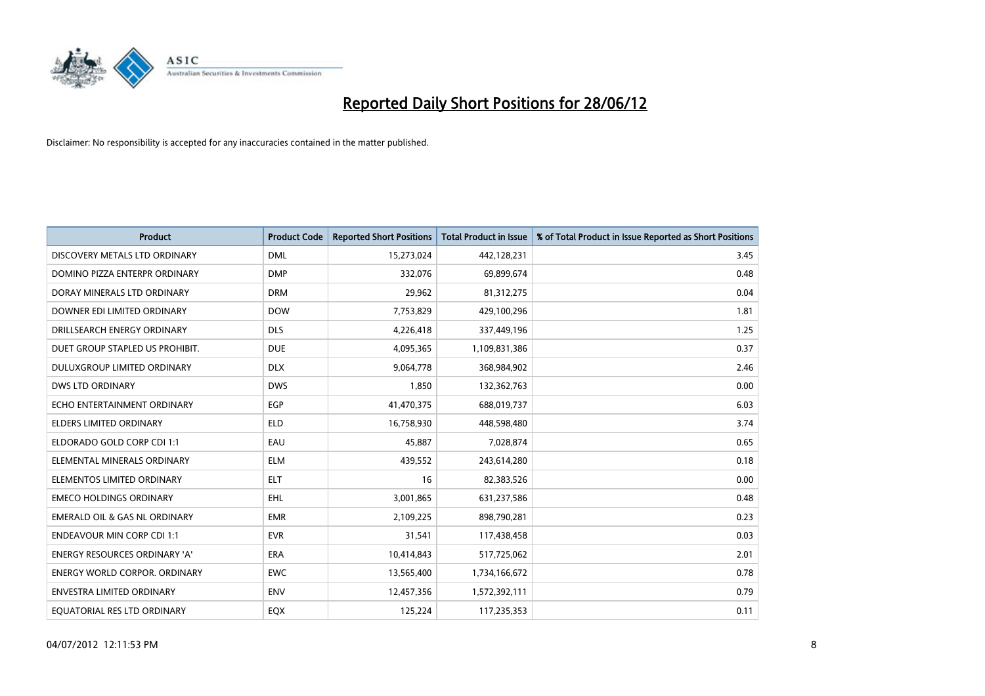

| <b>Product</b>                           | <b>Product Code</b> | <b>Reported Short Positions</b> | <b>Total Product in Issue</b> | % of Total Product in Issue Reported as Short Positions |
|------------------------------------------|---------------------|---------------------------------|-------------------------------|---------------------------------------------------------|
| DISCOVERY METALS LTD ORDINARY            | <b>DML</b>          | 15,273,024                      | 442,128,231                   | 3.45                                                    |
| DOMINO PIZZA ENTERPR ORDINARY            | <b>DMP</b>          | 332,076                         | 69,899,674                    | 0.48                                                    |
| DORAY MINERALS LTD ORDINARY              | <b>DRM</b>          | 29,962                          | 81,312,275                    | 0.04                                                    |
| DOWNER EDI LIMITED ORDINARY              | <b>DOW</b>          | 7,753,829                       | 429,100,296                   | 1.81                                                    |
| DRILLSEARCH ENERGY ORDINARY              | <b>DLS</b>          | 4,226,418                       | 337,449,196                   | 1.25                                                    |
| DUET GROUP STAPLED US PROHIBIT.          | <b>DUE</b>          | 4,095,365                       | 1,109,831,386                 | 0.37                                                    |
| <b>DULUXGROUP LIMITED ORDINARY</b>       | <b>DLX</b>          | 9,064,778                       | 368,984,902                   | 2.46                                                    |
| <b>DWS LTD ORDINARY</b>                  | <b>DWS</b>          | 1,850                           | 132,362,763                   | 0.00                                                    |
| ECHO ENTERTAINMENT ORDINARY              | <b>EGP</b>          | 41,470,375                      | 688,019,737                   | 6.03                                                    |
| ELDERS LIMITED ORDINARY                  | <b>ELD</b>          | 16,758,930                      | 448,598,480                   | 3.74                                                    |
| ELDORADO GOLD CORP CDI 1:1               | EAU                 | 45,887                          | 7,028,874                     | 0.65                                                    |
| ELEMENTAL MINERALS ORDINARY              | <b>ELM</b>          | 439,552                         | 243,614,280                   | 0.18                                                    |
| ELEMENTOS LIMITED ORDINARY               | <b>ELT</b>          | 16                              | 82,383,526                    | 0.00                                                    |
| <b>EMECO HOLDINGS ORDINARY</b>           | <b>EHL</b>          | 3,001,865                       | 631,237,586                   | 0.48                                                    |
| <b>EMERALD OIL &amp; GAS NL ORDINARY</b> | <b>EMR</b>          | 2,109,225                       | 898,790,281                   | 0.23                                                    |
| <b>ENDEAVOUR MIN CORP CDI 1:1</b>        | <b>EVR</b>          | 31,541                          | 117,438,458                   | 0.03                                                    |
| <b>ENERGY RESOURCES ORDINARY 'A'</b>     | <b>ERA</b>          | 10,414,843                      | 517,725,062                   | 2.01                                                    |
| ENERGY WORLD CORPOR. ORDINARY            | <b>EWC</b>          | 13,565,400                      | 1,734,166,672                 | 0.78                                                    |
| <b>ENVESTRA LIMITED ORDINARY</b>         | <b>ENV</b>          | 12,457,356                      | 1,572,392,111                 | 0.79                                                    |
| EQUATORIAL RES LTD ORDINARY              | EQX                 | 125,224                         | 117,235,353                   | 0.11                                                    |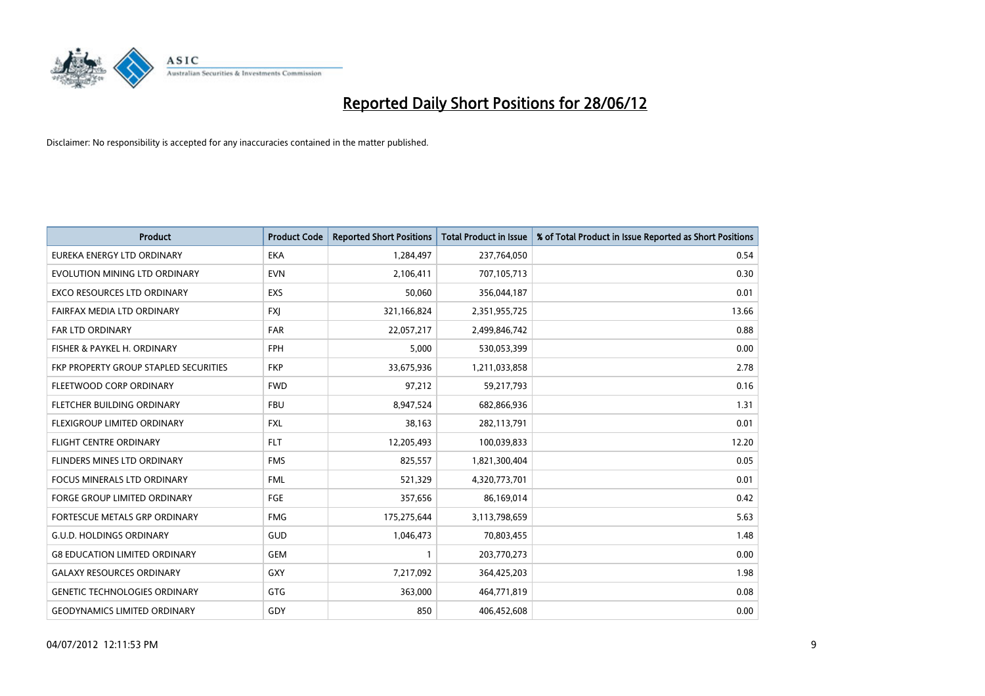

| <b>Product</b>                        | <b>Product Code</b> | <b>Reported Short Positions</b> | <b>Total Product in Issue</b> | % of Total Product in Issue Reported as Short Positions |
|---------------------------------------|---------------------|---------------------------------|-------------------------------|---------------------------------------------------------|
| <b>EUREKA ENERGY LTD ORDINARY</b>     | <b>EKA</b>          | 1,284,497                       | 237,764,050                   | 0.54                                                    |
| EVOLUTION MINING LTD ORDINARY         | <b>EVN</b>          | 2,106,411                       | 707,105,713                   | 0.30                                                    |
| EXCO RESOURCES LTD ORDINARY           | <b>EXS</b>          | 50,060                          | 356,044,187                   | 0.01                                                    |
| FAIRFAX MEDIA LTD ORDINARY            | <b>FXI</b>          | 321,166,824                     | 2,351,955,725                 | 13.66                                                   |
| <b>FAR LTD ORDINARY</b>               | <b>FAR</b>          | 22,057,217                      | 2,499,846,742                 | 0.88                                                    |
| FISHER & PAYKEL H. ORDINARY           | <b>FPH</b>          | 5,000                           | 530,053,399                   | 0.00                                                    |
| FKP PROPERTY GROUP STAPLED SECURITIES | <b>FKP</b>          | 33,675,936                      | 1,211,033,858                 | 2.78                                                    |
| FLEETWOOD CORP ORDINARY               | <b>FWD</b>          | 97,212                          | 59,217,793                    | 0.16                                                    |
| FLETCHER BUILDING ORDINARY            | <b>FBU</b>          | 8,947,524                       | 682,866,936                   | 1.31                                                    |
| FLEXIGROUP LIMITED ORDINARY           | <b>FXL</b>          | 38,163                          | 282,113,791                   | 0.01                                                    |
| <b>FLIGHT CENTRE ORDINARY</b>         | <b>FLT</b>          | 12,205,493                      | 100,039,833                   | 12.20                                                   |
| FLINDERS MINES LTD ORDINARY           | <b>FMS</b>          | 825,557                         | 1,821,300,404                 | 0.05                                                    |
| FOCUS MINERALS LTD ORDINARY           | <b>FML</b>          | 521,329                         | 4,320,773,701                 | 0.01                                                    |
| <b>FORGE GROUP LIMITED ORDINARY</b>   | FGE                 | 357,656                         | 86,169,014                    | 0.42                                                    |
| FORTESCUE METALS GRP ORDINARY         | <b>FMG</b>          | 175,275,644                     | 3,113,798,659                 | 5.63                                                    |
| <b>G.U.D. HOLDINGS ORDINARY</b>       | GUD                 | 1,046,473                       | 70,803,455                    | 1.48                                                    |
| <b>G8 EDUCATION LIMITED ORDINARY</b>  | <b>GEM</b>          | $\mathbf{1}$                    | 203,770,273                   | 0.00                                                    |
| <b>GALAXY RESOURCES ORDINARY</b>      | GXY                 | 7,217,092                       | 364,425,203                   | 1.98                                                    |
| <b>GENETIC TECHNOLOGIES ORDINARY</b>  | GTG                 | 363,000                         | 464,771,819                   | 0.08                                                    |
| <b>GEODYNAMICS LIMITED ORDINARY</b>   | GDY                 | 850                             | 406,452,608                   | 0.00                                                    |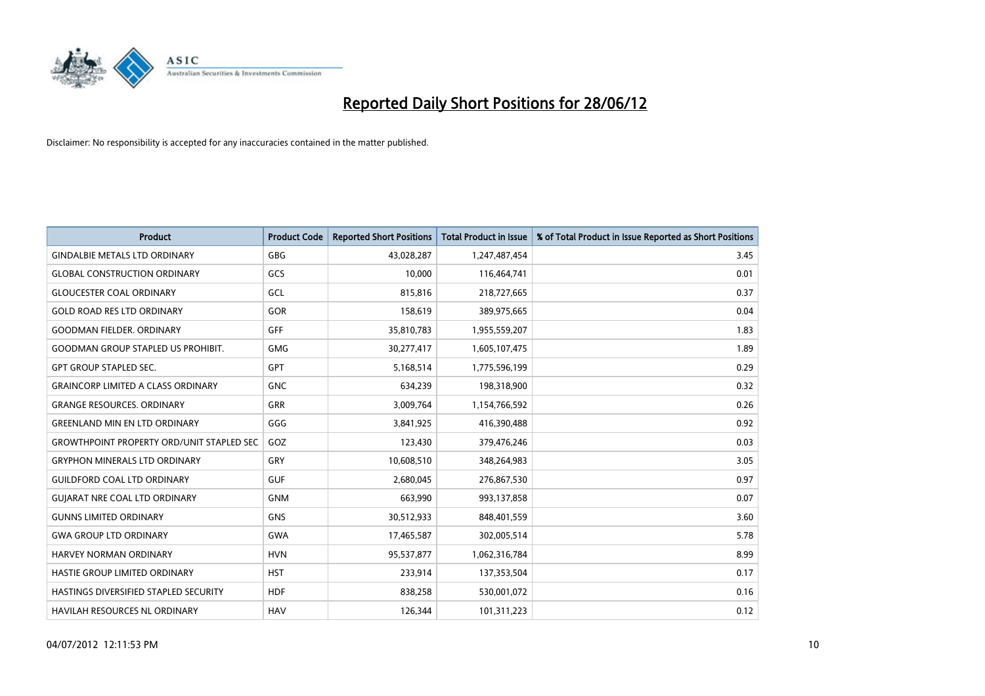

| <b>Product</b>                                   | <b>Product Code</b> | <b>Reported Short Positions</b> | <b>Total Product in Issue</b> | % of Total Product in Issue Reported as Short Positions |
|--------------------------------------------------|---------------------|---------------------------------|-------------------------------|---------------------------------------------------------|
| <b>GINDALBIE METALS LTD ORDINARY</b>             | GBG                 | 43,028,287                      | 1,247,487,454                 | 3.45                                                    |
| <b>GLOBAL CONSTRUCTION ORDINARY</b>              | GCS                 | 10,000                          | 116,464,741                   | 0.01                                                    |
| <b>GLOUCESTER COAL ORDINARY</b>                  | <b>GCL</b>          | 815,816                         | 218,727,665                   | 0.37                                                    |
| <b>GOLD ROAD RES LTD ORDINARY</b>                | <b>GOR</b>          | 158,619                         | 389,975,665                   | 0.04                                                    |
| <b>GOODMAN FIELDER, ORDINARY</b>                 | GFF                 | 35,810,783                      | 1,955,559,207                 | 1.83                                                    |
| <b>GOODMAN GROUP STAPLED US PROHIBIT.</b>        | <b>GMG</b>          | 30,277,417                      | 1,605,107,475                 | 1.89                                                    |
| <b>GPT GROUP STAPLED SEC.</b>                    | <b>GPT</b>          | 5,168,514                       | 1,775,596,199                 | 0.29                                                    |
| <b>GRAINCORP LIMITED A CLASS ORDINARY</b>        | <b>GNC</b>          | 634,239                         | 198,318,900                   | 0.32                                                    |
| <b>GRANGE RESOURCES, ORDINARY</b>                | <b>GRR</b>          | 3,009,764                       | 1,154,766,592                 | 0.26                                                    |
| <b>GREENLAND MIN EN LTD ORDINARY</b>             | GGG                 | 3,841,925                       | 416,390,488                   | 0.92                                                    |
| <b>GROWTHPOINT PROPERTY ORD/UNIT STAPLED SEC</b> | GOZ                 | 123,430                         | 379,476,246                   | 0.03                                                    |
| <b>GRYPHON MINERALS LTD ORDINARY</b>             | GRY                 | 10,608,510                      | 348,264,983                   | 3.05                                                    |
| <b>GUILDFORD COAL LTD ORDINARY</b>               | <b>GUF</b>          | 2,680,045                       | 276,867,530                   | 0.97                                                    |
| <b>GUIARAT NRE COAL LTD ORDINARY</b>             | <b>GNM</b>          | 663,990                         | 993,137,858                   | 0.07                                                    |
| <b>GUNNS LIMITED ORDINARY</b>                    | <b>GNS</b>          | 30,512,933                      | 848,401,559                   | 3.60                                                    |
| <b>GWA GROUP LTD ORDINARY</b>                    | <b>GWA</b>          | 17,465,587                      | 302,005,514                   | 5.78                                                    |
| HARVEY NORMAN ORDINARY                           | <b>HVN</b>          | 95,537,877                      | 1,062,316,784                 | 8.99                                                    |
| HASTIE GROUP LIMITED ORDINARY                    | <b>HST</b>          | 233,914                         | 137,353,504                   | 0.17                                                    |
| HASTINGS DIVERSIFIED STAPLED SECURITY            | <b>HDF</b>          | 838,258                         | 530,001,072                   | 0.16                                                    |
| HAVILAH RESOURCES NL ORDINARY                    | <b>HAV</b>          | 126,344                         | 101,311,223                   | 0.12                                                    |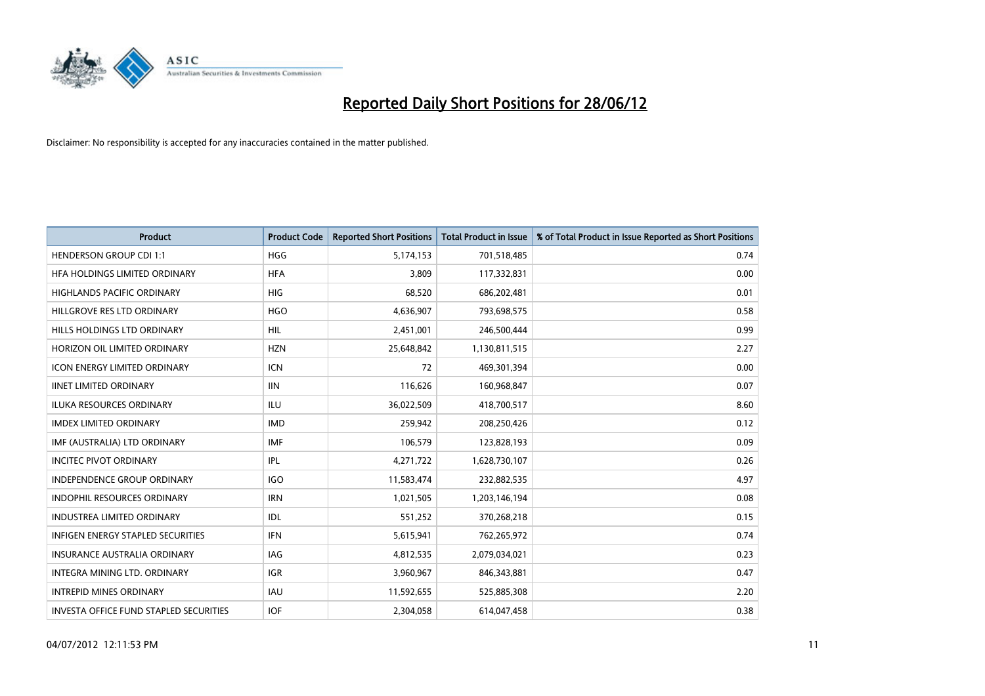

| <b>Product</b>                           | <b>Product Code</b> | <b>Reported Short Positions</b> | <b>Total Product in Issue</b> | % of Total Product in Issue Reported as Short Positions |
|------------------------------------------|---------------------|---------------------------------|-------------------------------|---------------------------------------------------------|
| <b>HENDERSON GROUP CDI 1:1</b>           | <b>HGG</b>          | 5,174,153                       | 701,518,485                   | 0.74                                                    |
| HFA HOLDINGS LIMITED ORDINARY            | <b>HFA</b>          | 3,809                           | 117,332,831                   | 0.00                                                    |
| <b>HIGHLANDS PACIFIC ORDINARY</b>        | <b>HIG</b>          | 68,520                          | 686,202,481                   | 0.01                                                    |
| HILLGROVE RES LTD ORDINARY               | <b>HGO</b>          | 4,636,907                       | 793,698,575                   | 0.58                                                    |
| HILLS HOLDINGS LTD ORDINARY              | <b>HIL</b>          | 2,451,001                       | 246,500,444                   | 0.99                                                    |
| HORIZON OIL LIMITED ORDINARY             | <b>HZN</b>          | 25,648,842                      | 1,130,811,515                 | 2.27                                                    |
| <b>ICON ENERGY LIMITED ORDINARY</b>      | <b>ICN</b>          | 72                              | 469,301,394                   | 0.00                                                    |
| <b>IINET LIMITED ORDINARY</b>            | <b>IIN</b>          | 116,626                         | 160,968,847                   | 0.07                                                    |
| ILUKA RESOURCES ORDINARY                 | ILU                 | 36,022,509                      | 418,700,517                   | 8.60                                                    |
| <b>IMDEX LIMITED ORDINARY</b>            | <b>IMD</b>          | 259,942                         | 208,250,426                   | 0.12                                                    |
| IMF (AUSTRALIA) LTD ORDINARY             | <b>IMF</b>          | 106,579                         | 123,828,193                   | 0.09                                                    |
| <b>INCITEC PIVOT ORDINARY</b>            | <b>IPL</b>          | 4,271,722                       | 1,628,730,107                 | 0.26                                                    |
| <b>INDEPENDENCE GROUP ORDINARY</b>       | <b>IGO</b>          | 11,583,474                      | 232,882,535                   | 4.97                                                    |
| <b>INDOPHIL RESOURCES ORDINARY</b>       | <b>IRN</b>          | 1,021,505                       | 1,203,146,194                 | 0.08                                                    |
| INDUSTREA LIMITED ORDINARY               | IDL                 | 551,252                         | 370,268,218                   | 0.15                                                    |
| <b>INFIGEN ENERGY STAPLED SECURITIES</b> | <b>IFN</b>          | 5,615,941                       | 762,265,972                   | 0.74                                                    |
| <b>INSURANCE AUSTRALIA ORDINARY</b>      | <b>IAG</b>          | 4,812,535                       | 2,079,034,021                 | 0.23                                                    |
| INTEGRA MINING LTD. ORDINARY             | <b>IGR</b>          | 3,960,967                       | 846,343,881                   | 0.47                                                    |
| <b>INTREPID MINES ORDINARY</b>           | IAU                 | 11,592,655                      | 525,885,308                   | 2.20                                                    |
| INVESTA OFFICE FUND STAPLED SECURITIES   | <b>IOF</b>          | 2.304.058                       | 614,047,458                   | 0.38                                                    |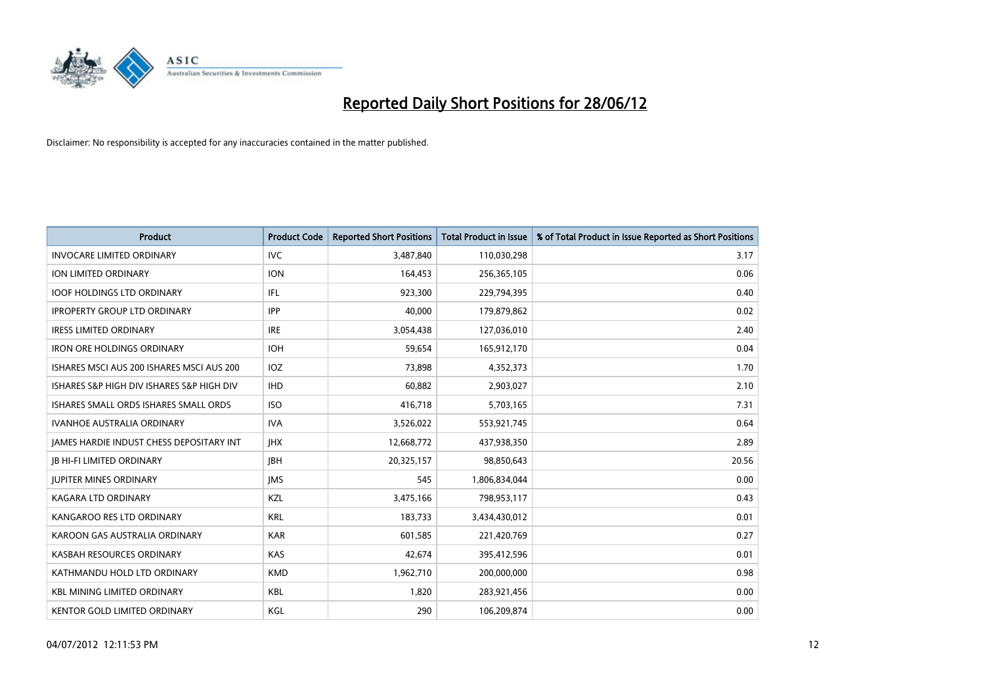

| <b>Product</b>                            | <b>Product Code</b> | <b>Reported Short Positions</b> | <b>Total Product in Issue</b> | % of Total Product in Issue Reported as Short Positions |
|-------------------------------------------|---------------------|---------------------------------|-------------------------------|---------------------------------------------------------|
| <b>INVOCARE LIMITED ORDINARY</b>          | IVC                 | 3,487,840                       | 110,030,298                   | 3.17                                                    |
| ION LIMITED ORDINARY                      | <b>ION</b>          | 164,453                         | 256,365,105                   | 0.06                                                    |
| <b>IOOF HOLDINGS LTD ORDINARY</b>         | IFL                 | 923,300                         | 229,794,395                   | 0.40                                                    |
| <b>IPROPERTY GROUP LTD ORDINARY</b>       | <b>IPP</b>          | 40,000                          | 179,879,862                   | 0.02                                                    |
| <b>IRESS LIMITED ORDINARY</b>             | <b>IRE</b>          | 3,054,438                       | 127,036,010                   | 2.40                                                    |
| <b>IRON ORE HOLDINGS ORDINARY</b>         | <b>IOH</b>          | 59,654                          | 165,912,170                   | 0.04                                                    |
| ISHARES MSCI AUS 200 ISHARES MSCI AUS 200 | IOZ                 | 73,898                          | 4,352,373                     | 1.70                                                    |
| ISHARES S&P HIGH DIV ISHARES S&P HIGH DIV | <b>IHD</b>          | 60,882                          | 2,903,027                     | 2.10                                                    |
| ISHARES SMALL ORDS ISHARES SMALL ORDS     | <b>ISO</b>          | 416,718                         | 5,703,165                     | 7.31                                                    |
| <b>IVANHOE AUSTRALIA ORDINARY</b>         | <b>IVA</b>          | 3,526,022                       | 553,921,745                   | 0.64                                                    |
| JAMES HARDIE INDUST CHESS DEPOSITARY INT  | <b>IHX</b>          | 12,668,772                      | 437,938,350                   | 2.89                                                    |
| <b>JB HI-FI LIMITED ORDINARY</b>          | <b>IBH</b>          | 20,325,157                      | 98,850,643                    | 20.56                                                   |
| <b>JUPITER MINES ORDINARY</b>             | <b>IMS</b>          | 545                             | 1,806,834,044                 | 0.00                                                    |
| <b>KAGARA LTD ORDINARY</b>                | KZL                 | 3,475,166                       | 798,953,117                   | 0.43                                                    |
| KANGAROO RES LTD ORDINARY                 | <b>KRL</b>          | 183,733                         | 3,434,430,012                 | 0.01                                                    |
| KAROON GAS AUSTRALIA ORDINARY             | <b>KAR</b>          | 601,585                         | 221,420,769                   | 0.27                                                    |
| KASBAH RESOURCES ORDINARY                 | KAS                 | 42,674                          | 395,412,596                   | 0.01                                                    |
| KATHMANDU HOLD LTD ORDINARY               | <b>KMD</b>          | 1,962,710                       | 200,000,000                   | 0.98                                                    |
| <b>KBL MINING LIMITED ORDINARY</b>        | <b>KBL</b>          | 1,820                           | 283,921,456                   | 0.00                                                    |
| KENTOR GOLD LIMITED ORDINARY              | KGL                 | 290                             | 106,209,874                   | 0.00                                                    |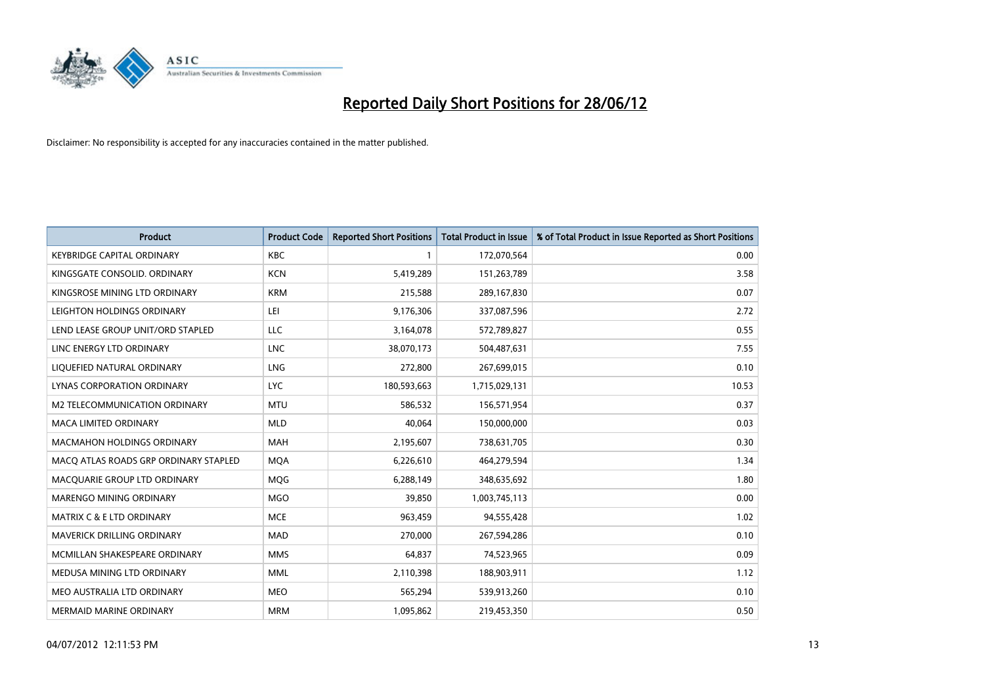

| <b>Product</b>                        | <b>Product Code</b> | <b>Reported Short Positions</b> | <b>Total Product in Issue</b> | % of Total Product in Issue Reported as Short Positions |
|---------------------------------------|---------------------|---------------------------------|-------------------------------|---------------------------------------------------------|
| <b>KEYBRIDGE CAPITAL ORDINARY</b>     | <b>KBC</b>          | 1                               | 172,070,564                   | 0.00                                                    |
| KINGSGATE CONSOLID. ORDINARY          | <b>KCN</b>          | 5,419,289                       | 151,263,789                   | 3.58                                                    |
| KINGSROSE MINING LTD ORDINARY         | <b>KRM</b>          | 215,588                         | 289,167,830                   | 0.07                                                    |
| LEIGHTON HOLDINGS ORDINARY            | LEI                 | 9,176,306                       | 337,087,596                   | 2.72                                                    |
| LEND LEASE GROUP UNIT/ORD STAPLED     | <b>LLC</b>          | 3,164,078                       | 572,789,827                   | 0.55                                                    |
| LINC ENERGY LTD ORDINARY              | <b>LNC</b>          | 38,070,173                      | 504,487,631                   | 7.55                                                    |
| LIQUEFIED NATURAL ORDINARY            | <b>LNG</b>          | 272,800                         | 267,699,015                   | 0.10                                                    |
| LYNAS CORPORATION ORDINARY            | <b>LYC</b>          | 180,593,663                     | 1,715,029,131                 | 10.53                                                   |
| <b>M2 TELECOMMUNICATION ORDINARY</b>  | <b>MTU</b>          | 586,532                         | 156,571,954                   | 0.37                                                    |
| <b>MACA LIMITED ORDINARY</b>          | <b>MLD</b>          | 40,064                          | 150,000,000                   | 0.03                                                    |
| <b>MACMAHON HOLDINGS ORDINARY</b>     | MAH                 | 2,195,607                       | 738,631,705                   | 0.30                                                    |
| MACO ATLAS ROADS GRP ORDINARY STAPLED | <b>MOA</b>          | 6,226,610                       | 464,279,594                   | 1.34                                                    |
| MACQUARIE GROUP LTD ORDINARY          | <b>MQG</b>          | 6,288,149                       | 348,635,692                   | 1.80                                                    |
| MARENGO MINING ORDINARY               | <b>MGO</b>          | 39,850                          | 1,003,745,113                 | 0.00                                                    |
| <b>MATRIX C &amp; E LTD ORDINARY</b>  | <b>MCE</b>          | 963,459                         | 94,555,428                    | 1.02                                                    |
| <b>MAVERICK DRILLING ORDINARY</b>     | <b>MAD</b>          | 270,000                         | 267,594,286                   | 0.10                                                    |
| MCMILLAN SHAKESPEARE ORDINARY         | <b>MMS</b>          | 64,837                          | 74,523,965                    | 0.09                                                    |
| MEDUSA MINING LTD ORDINARY            | <b>MML</b>          | 2,110,398                       | 188,903,911                   | 1.12                                                    |
| MEO AUSTRALIA LTD ORDINARY            | <b>MEO</b>          | 565,294                         | 539,913,260                   | 0.10                                                    |
| <b>MERMAID MARINE ORDINARY</b>        | <b>MRM</b>          | 1,095,862                       | 219,453,350                   | 0.50                                                    |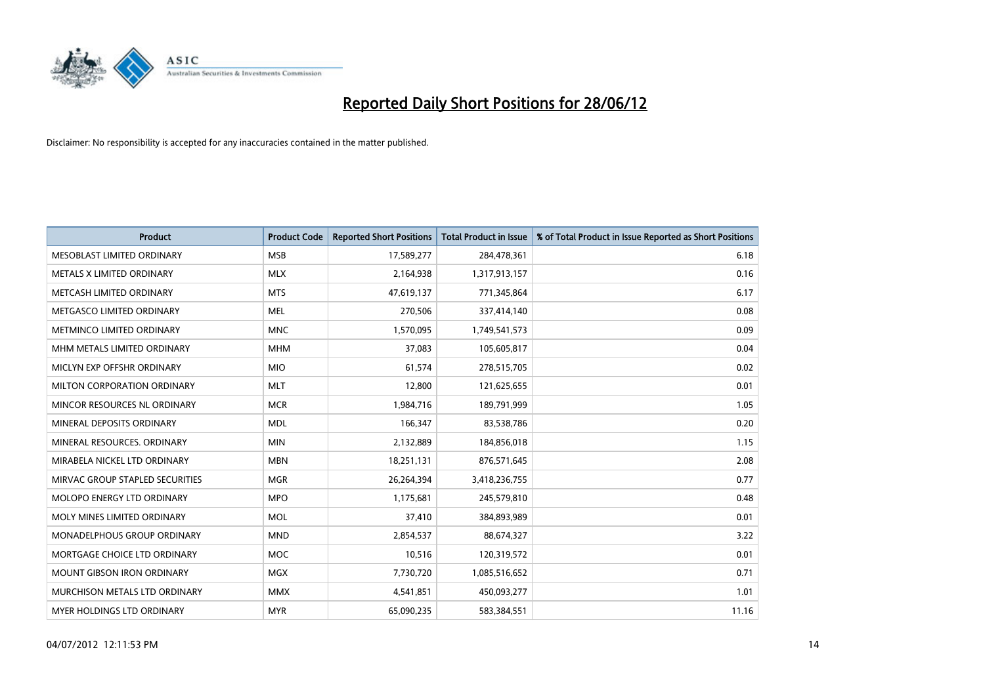

| <b>Product</b>                    | <b>Product Code</b> | <b>Reported Short Positions</b> | <b>Total Product in Issue</b> | % of Total Product in Issue Reported as Short Positions |
|-----------------------------------|---------------------|---------------------------------|-------------------------------|---------------------------------------------------------|
| MESOBLAST LIMITED ORDINARY        | <b>MSB</b>          | 17,589,277                      | 284,478,361                   | 6.18                                                    |
| METALS X LIMITED ORDINARY         | <b>MLX</b>          | 2,164,938                       | 1,317,913,157                 | 0.16                                                    |
| METCASH LIMITED ORDINARY          | <b>MTS</b>          | 47,619,137                      | 771,345,864                   | 6.17                                                    |
| METGASCO LIMITED ORDINARY         | <b>MEL</b>          | 270,506                         | 337,414,140                   | 0.08                                                    |
| METMINCO LIMITED ORDINARY         | <b>MNC</b>          | 1,570,095                       | 1,749,541,573                 | 0.09                                                    |
| MHM METALS LIMITED ORDINARY       | <b>MHM</b>          | 37,083                          | 105,605,817                   | 0.04                                                    |
| MICLYN EXP OFFSHR ORDINARY        | <b>MIO</b>          | 61,574                          | 278,515,705                   | 0.02                                                    |
| MILTON CORPORATION ORDINARY       | <b>MLT</b>          | 12,800                          | 121,625,655                   | 0.01                                                    |
| MINCOR RESOURCES NL ORDINARY      | <b>MCR</b>          | 1,984,716                       | 189,791,999                   | 1.05                                                    |
| MINERAL DEPOSITS ORDINARY         | <b>MDL</b>          | 166,347                         | 83,538,786                    | 0.20                                                    |
| MINERAL RESOURCES. ORDINARY       | <b>MIN</b>          | 2,132,889                       | 184,856,018                   | 1.15                                                    |
| MIRABELA NICKEL LTD ORDINARY      | <b>MBN</b>          | 18,251,131                      | 876,571,645                   | 2.08                                                    |
| MIRVAC GROUP STAPLED SECURITIES   | <b>MGR</b>          | 26,264,394                      | 3,418,236,755                 | 0.77                                                    |
| MOLOPO ENERGY LTD ORDINARY        | <b>MPO</b>          | 1,175,681                       | 245,579,810                   | 0.48                                                    |
| MOLY MINES LIMITED ORDINARY       | <b>MOL</b>          | 37,410                          | 384,893,989                   | 0.01                                                    |
| MONADELPHOUS GROUP ORDINARY       | <b>MND</b>          | 2,854,537                       | 88,674,327                    | 3.22                                                    |
| MORTGAGE CHOICE LTD ORDINARY      | <b>MOC</b>          | 10,516                          | 120,319,572                   | 0.01                                                    |
| <b>MOUNT GIBSON IRON ORDINARY</b> | <b>MGX</b>          | 7,730,720                       | 1,085,516,652                 | 0.71                                                    |
| MURCHISON METALS LTD ORDINARY     | <b>MMX</b>          | 4,541,851                       | 450,093,277                   | 1.01                                                    |
| MYER HOLDINGS LTD ORDINARY        | <b>MYR</b>          | 65,090,235                      | 583,384,551                   | 11.16                                                   |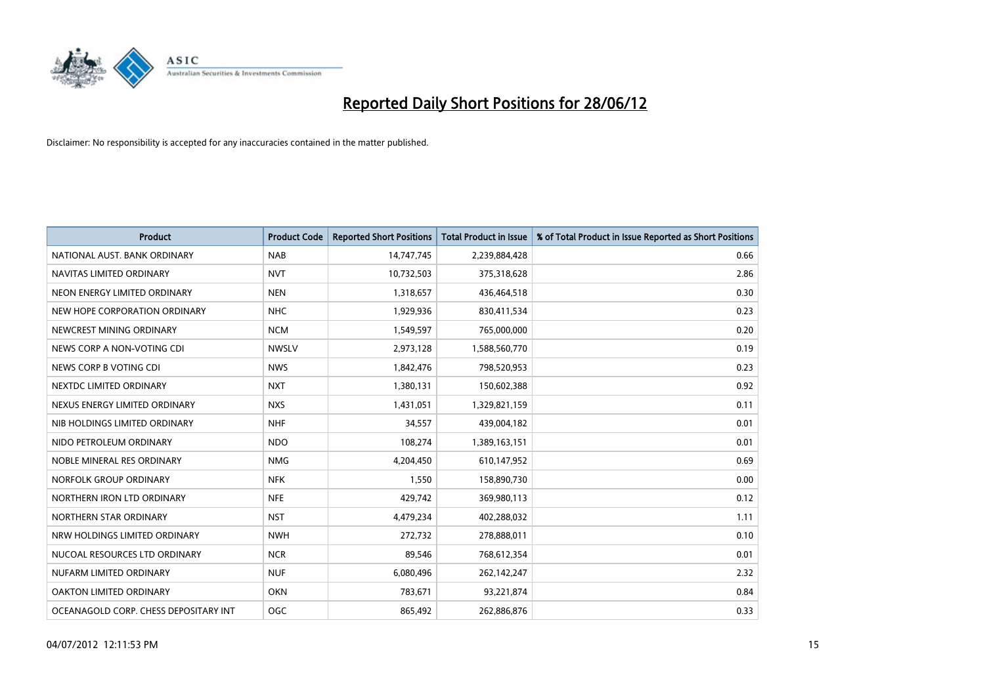

| <b>Product</b>                        | <b>Product Code</b> | <b>Reported Short Positions</b> | <b>Total Product in Issue</b> | % of Total Product in Issue Reported as Short Positions |
|---------------------------------------|---------------------|---------------------------------|-------------------------------|---------------------------------------------------------|
| NATIONAL AUST. BANK ORDINARY          | <b>NAB</b>          | 14,747,745                      | 2,239,884,428                 | 0.66                                                    |
| NAVITAS LIMITED ORDINARY              | <b>NVT</b>          | 10,732,503                      | 375,318,628                   | 2.86                                                    |
| NEON ENERGY LIMITED ORDINARY          | <b>NEN</b>          | 1,318,657                       | 436,464,518                   | 0.30                                                    |
| NEW HOPE CORPORATION ORDINARY         | <b>NHC</b>          | 1,929,936                       | 830,411,534                   | 0.23                                                    |
| NEWCREST MINING ORDINARY              | <b>NCM</b>          | 1,549,597                       | 765,000,000                   | 0.20                                                    |
| NEWS CORP A NON-VOTING CDI            | <b>NWSLV</b>        | 2,973,128                       | 1,588,560,770                 | 0.19                                                    |
| NEWS CORP B VOTING CDI                | <b>NWS</b>          | 1,842,476                       | 798,520,953                   | 0.23                                                    |
| NEXTDC LIMITED ORDINARY               | <b>NXT</b>          | 1,380,131                       | 150,602,388                   | 0.92                                                    |
| NEXUS ENERGY LIMITED ORDINARY         | <b>NXS</b>          | 1,431,051                       | 1,329,821,159                 | 0.11                                                    |
| NIB HOLDINGS LIMITED ORDINARY         | <b>NHF</b>          | 34,557                          | 439,004,182                   | 0.01                                                    |
| NIDO PETROLEUM ORDINARY               | <b>NDO</b>          | 108,274                         | 1,389,163,151                 | 0.01                                                    |
| NOBLE MINERAL RES ORDINARY            | <b>NMG</b>          | 4,204,450                       | 610,147,952                   | 0.69                                                    |
| NORFOLK GROUP ORDINARY                | <b>NFK</b>          | 1,550                           | 158,890,730                   | 0.00                                                    |
| NORTHERN IRON LTD ORDINARY            | <b>NFE</b>          | 429,742                         | 369,980,113                   | 0.12                                                    |
| NORTHERN STAR ORDINARY                | <b>NST</b>          | 4,479,234                       | 402,288,032                   | 1.11                                                    |
| NRW HOLDINGS LIMITED ORDINARY         | <b>NWH</b>          | 272,732                         | 278,888,011                   | 0.10                                                    |
| NUCOAL RESOURCES LTD ORDINARY         | <b>NCR</b>          | 89,546                          | 768,612,354                   | 0.01                                                    |
| NUFARM LIMITED ORDINARY               | <b>NUF</b>          | 6,080,496                       | 262,142,247                   | 2.32                                                    |
| OAKTON LIMITED ORDINARY               | <b>OKN</b>          | 783,671                         | 93,221,874                    | 0.84                                                    |
| OCEANAGOLD CORP. CHESS DEPOSITARY INT | OGC                 | 865,492                         | 262,886,876                   | 0.33                                                    |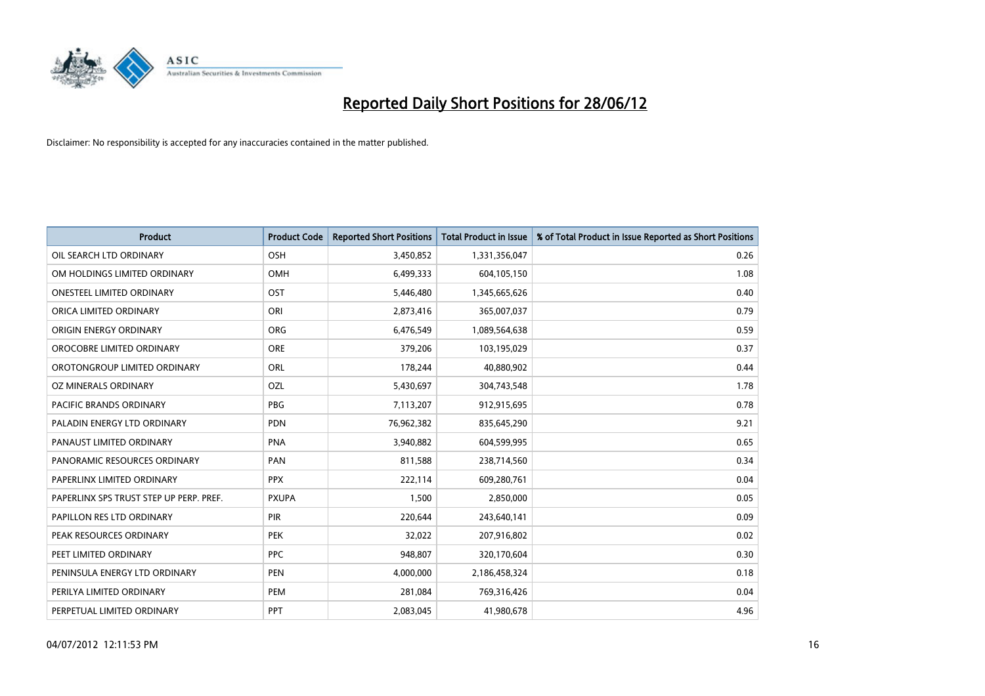

| <b>Product</b>                          | <b>Product Code</b> | <b>Reported Short Positions</b> | <b>Total Product in Issue</b> | % of Total Product in Issue Reported as Short Positions |
|-----------------------------------------|---------------------|---------------------------------|-------------------------------|---------------------------------------------------------|
| OIL SEARCH LTD ORDINARY                 | OSH                 | 3,450,852                       | 1,331,356,047                 | 0.26                                                    |
| OM HOLDINGS LIMITED ORDINARY            | OMH                 | 6,499,333                       | 604,105,150                   | 1.08                                                    |
| <b>ONESTEEL LIMITED ORDINARY</b>        | OST                 | 5,446,480                       | 1,345,665,626                 | 0.40                                                    |
| ORICA LIMITED ORDINARY                  | ORI                 | 2,873,416                       | 365,007,037                   | 0.79                                                    |
| ORIGIN ENERGY ORDINARY                  | <b>ORG</b>          | 6,476,549                       | 1,089,564,638                 | 0.59                                                    |
| OROCOBRE LIMITED ORDINARY               | <b>ORE</b>          | 379,206                         | 103,195,029                   | 0.37                                                    |
| OROTONGROUP LIMITED ORDINARY            | ORL                 | 178,244                         | 40,880,902                    | 0.44                                                    |
| OZ MINERALS ORDINARY                    | OZL                 | 5,430,697                       | 304,743,548                   | 1.78                                                    |
| <b>PACIFIC BRANDS ORDINARY</b>          | <b>PBG</b>          | 7,113,207                       | 912,915,695                   | 0.78                                                    |
| PALADIN ENERGY LTD ORDINARY             | <b>PDN</b>          | 76,962,382                      | 835,645,290                   | 9.21                                                    |
| PANAUST LIMITED ORDINARY                | <b>PNA</b>          | 3,940,882                       | 604,599,995                   | 0.65                                                    |
| PANORAMIC RESOURCES ORDINARY            | PAN                 | 811,588                         | 238,714,560                   | 0.34                                                    |
| PAPERLINX LIMITED ORDINARY              | <b>PPX</b>          | 222,114                         | 609,280,761                   | 0.04                                                    |
| PAPERLINX SPS TRUST STEP UP PERP. PREF. | <b>PXUPA</b>        | 1,500                           | 2,850,000                     | 0.05                                                    |
| PAPILLON RES LTD ORDINARY               | PIR                 | 220,644                         | 243,640,141                   | 0.09                                                    |
| PEAK RESOURCES ORDINARY                 | <b>PEK</b>          | 32,022                          | 207,916,802                   | 0.02                                                    |
| PEET LIMITED ORDINARY                   | <b>PPC</b>          | 948,807                         | 320,170,604                   | 0.30                                                    |
| PENINSULA ENERGY LTD ORDINARY           | <b>PEN</b>          | 4,000,000                       | 2,186,458,324                 | 0.18                                                    |
| PERILYA LIMITED ORDINARY                | PEM                 | 281,084                         | 769,316,426                   | 0.04                                                    |
| PERPETUAL LIMITED ORDINARY              | PPT                 | 2,083,045                       | 41,980,678                    | 4.96                                                    |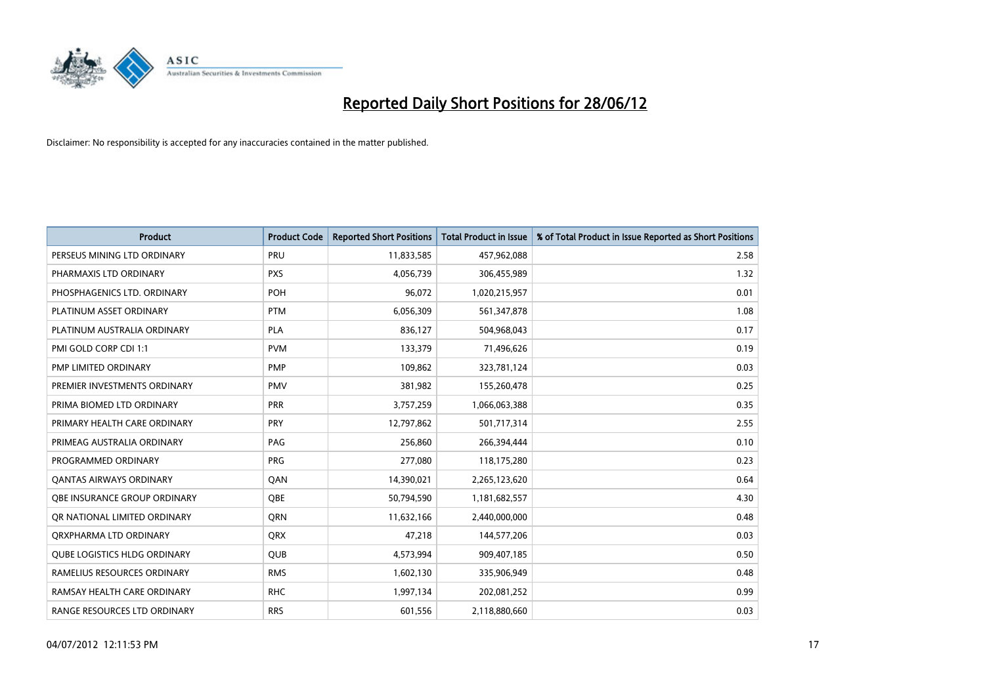

| <b>Product</b>                      | <b>Product Code</b> | <b>Reported Short Positions</b> | <b>Total Product in Issue</b> | % of Total Product in Issue Reported as Short Positions |
|-------------------------------------|---------------------|---------------------------------|-------------------------------|---------------------------------------------------------|
| PERSEUS MINING LTD ORDINARY         | PRU                 | 11,833,585                      | 457,962,088                   | 2.58                                                    |
| PHARMAXIS LTD ORDINARY              | <b>PXS</b>          | 4,056,739                       | 306,455,989                   | 1.32                                                    |
| PHOSPHAGENICS LTD. ORDINARY         | POH                 | 96,072                          | 1,020,215,957                 | 0.01                                                    |
| PLATINUM ASSET ORDINARY             | <b>PTM</b>          | 6,056,309                       | 561,347,878                   | 1.08                                                    |
| PLATINUM AUSTRALIA ORDINARY         | <b>PLA</b>          | 836,127                         | 504,968,043                   | 0.17                                                    |
| PMI GOLD CORP CDI 1:1               | <b>PVM</b>          | 133,379                         | 71,496,626                    | 0.19                                                    |
| PMP LIMITED ORDINARY                | <b>PMP</b>          | 109,862                         | 323,781,124                   | 0.03                                                    |
| PREMIER INVESTMENTS ORDINARY        | <b>PMV</b>          | 381,982                         | 155,260,478                   | 0.25                                                    |
| PRIMA BIOMED LTD ORDINARY           | <b>PRR</b>          | 3,757,259                       | 1,066,063,388                 | 0.35                                                    |
| PRIMARY HEALTH CARE ORDINARY        | <b>PRY</b>          | 12,797,862                      | 501,717,314                   | 2.55                                                    |
| PRIMEAG AUSTRALIA ORDINARY          | PAG                 | 256,860                         | 266,394,444                   | 0.10                                                    |
| PROGRAMMED ORDINARY                 | <b>PRG</b>          | 277,080                         | 118,175,280                   | 0.23                                                    |
| <b>QANTAS AIRWAYS ORDINARY</b>      | QAN                 | 14,390,021                      | 2,265,123,620                 | 0.64                                                    |
| OBE INSURANCE GROUP ORDINARY        | <b>OBE</b>          | 50,794,590                      | 1,181,682,557                 | 4.30                                                    |
| OR NATIONAL LIMITED ORDINARY        | <b>ORN</b>          | 11,632,166                      | 2,440,000,000                 | 0.48                                                    |
| ORXPHARMA LTD ORDINARY              | QRX                 | 47,218                          | 144,577,206                   | 0.03                                                    |
| <b>QUBE LOGISTICS HLDG ORDINARY</b> | <b>QUB</b>          | 4,573,994                       | 909,407,185                   | 0.50                                                    |
| RAMELIUS RESOURCES ORDINARY         | <b>RMS</b>          | 1,602,130                       | 335,906,949                   | 0.48                                                    |
| RAMSAY HEALTH CARE ORDINARY         | <b>RHC</b>          | 1,997,134                       | 202,081,252                   | 0.99                                                    |
| RANGE RESOURCES LTD ORDINARY        | <b>RRS</b>          | 601,556                         | 2,118,880,660                 | 0.03                                                    |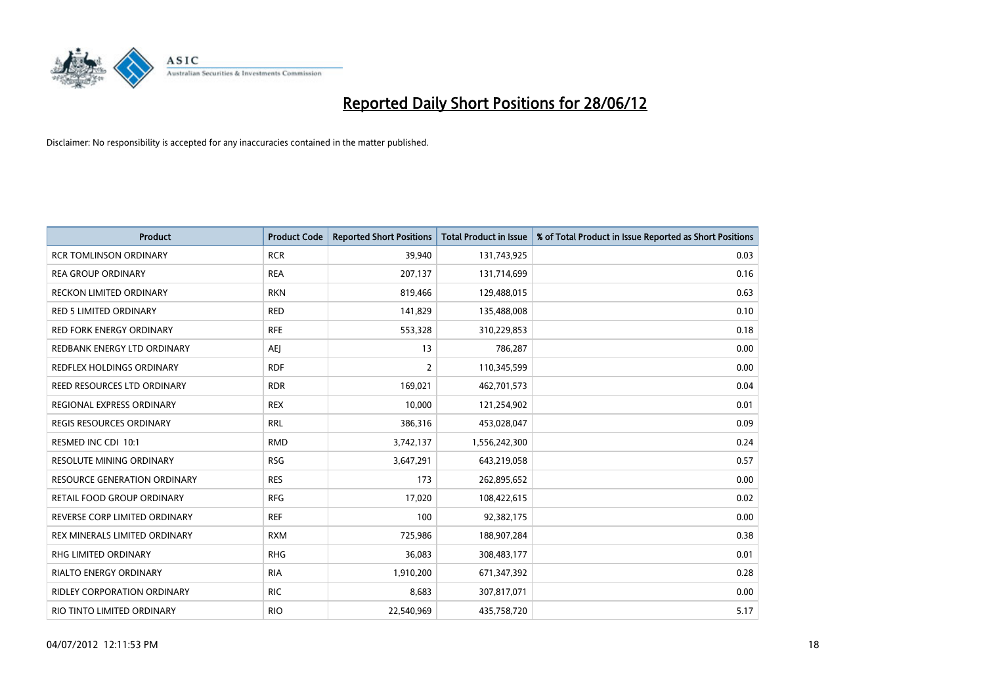

| <b>Product</b>                     | <b>Product Code</b> | <b>Reported Short Positions</b> | <b>Total Product in Issue</b> | % of Total Product in Issue Reported as Short Positions |
|------------------------------------|---------------------|---------------------------------|-------------------------------|---------------------------------------------------------|
| <b>RCR TOMLINSON ORDINARY</b>      | <b>RCR</b>          | 39,940                          | 131,743,925                   | 0.03                                                    |
| <b>REA GROUP ORDINARY</b>          | <b>REA</b>          | 207,137                         | 131,714,699                   | 0.16                                                    |
| <b>RECKON LIMITED ORDINARY</b>     | <b>RKN</b>          | 819,466                         | 129,488,015                   | 0.63                                                    |
| RED 5 LIMITED ORDINARY             | <b>RED</b>          | 141,829                         | 135,488,008                   | 0.10                                                    |
| <b>RED FORK ENERGY ORDINARY</b>    | <b>RFE</b>          | 553,328                         | 310,229,853                   | 0.18                                                    |
| REDBANK ENERGY LTD ORDINARY        | <b>AEJ</b>          | 13                              | 786,287                       | 0.00                                                    |
| <b>REDFLEX HOLDINGS ORDINARY</b>   | <b>RDF</b>          | $\overline{2}$                  | 110,345,599                   | 0.00                                                    |
| REED RESOURCES LTD ORDINARY        | <b>RDR</b>          | 169,021                         | 462,701,573                   | 0.04                                                    |
| REGIONAL EXPRESS ORDINARY          | <b>REX</b>          | 10.000                          | 121,254,902                   | 0.01                                                    |
| <b>REGIS RESOURCES ORDINARY</b>    | <b>RRL</b>          | 386,316                         | 453,028,047                   | 0.09                                                    |
| RESMED INC CDI 10:1                | <b>RMD</b>          | 3,742,137                       | 1,556,242,300                 | 0.24                                                    |
| <b>RESOLUTE MINING ORDINARY</b>    | <b>RSG</b>          | 3,647,291                       | 643,219,058                   | 0.57                                                    |
| RESOURCE GENERATION ORDINARY       | <b>RES</b>          | 173                             | 262,895,652                   | 0.00                                                    |
| <b>RETAIL FOOD GROUP ORDINARY</b>  | <b>RFG</b>          | 17,020                          | 108,422,615                   | 0.02                                                    |
| REVERSE CORP LIMITED ORDINARY      | <b>REF</b>          | 100                             | 92,382,175                    | 0.00                                                    |
| REX MINERALS LIMITED ORDINARY      | <b>RXM</b>          | 725,986                         | 188,907,284                   | 0.38                                                    |
| RHG LIMITED ORDINARY               | <b>RHG</b>          | 36,083                          | 308,483,177                   | 0.01                                                    |
| <b>RIALTO ENERGY ORDINARY</b>      | <b>RIA</b>          | 1,910,200                       | 671,347,392                   | 0.28                                                    |
| <b>RIDLEY CORPORATION ORDINARY</b> | <b>RIC</b>          | 8,683                           | 307,817,071                   | 0.00                                                    |
| RIO TINTO LIMITED ORDINARY         | <b>RIO</b>          | 22,540,969                      | 435,758,720                   | 5.17                                                    |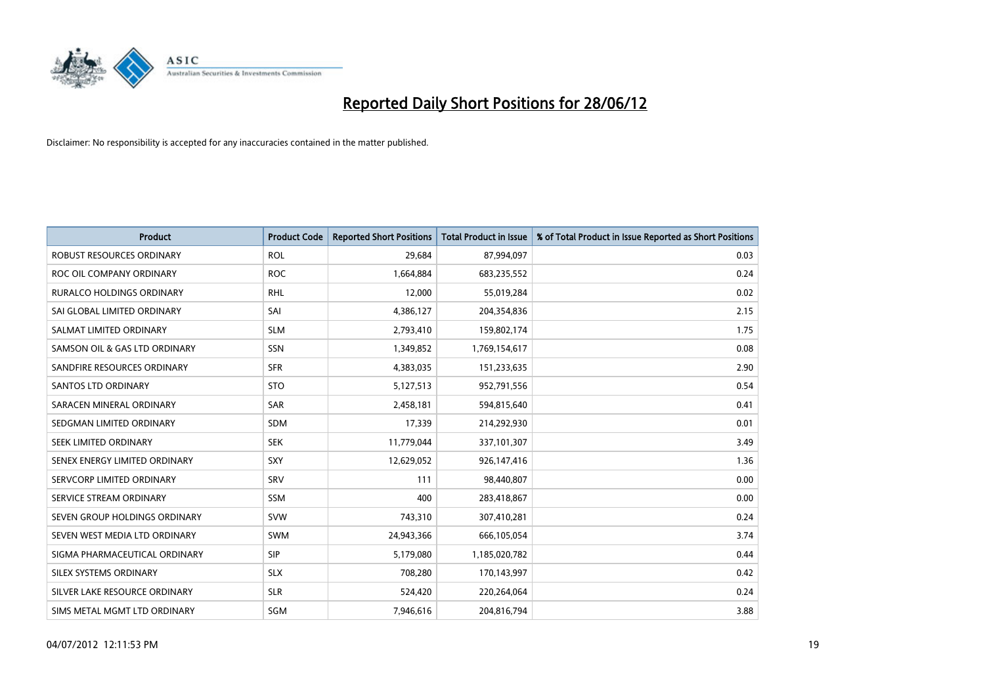

| <b>Product</b>                   | <b>Product Code</b> | <b>Reported Short Positions</b> | <b>Total Product in Issue</b> | % of Total Product in Issue Reported as Short Positions |
|----------------------------------|---------------------|---------------------------------|-------------------------------|---------------------------------------------------------|
| <b>ROBUST RESOURCES ORDINARY</b> | <b>ROL</b>          | 29,684                          | 87,994,097                    | 0.03                                                    |
| ROC OIL COMPANY ORDINARY         | <b>ROC</b>          | 1,664,884                       | 683,235,552                   | 0.24                                                    |
| <b>RURALCO HOLDINGS ORDINARY</b> | <b>RHL</b>          | 12,000                          | 55,019,284                    | 0.02                                                    |
| SAI GLOBAL LIMITED ORDINARY      | SAI                 | 4,386,127                       | 204,354,836                   | 2.15                                                    |
| SALMAT LIMITED ORDINARY          | <b>SLM</b>          | 2,793,410                       | 159,802,174                   | 1.75                                                    |
| SAMSON OIL & GAS LTD ORDINARY    | SSN                 | 1,349,852                       | 1,769,154,617                 | 0.08                                                    |
| SANDFIRE RESOURCES ORDINARY      | <b>SFR</b>          | 4,383,035                       | 151,233,635                   | 2.90                                                    |
| <b>SANTOS LTD ORDINARY</b>       | <b>STO</b>          | 5,127,513                       | 952,791,556                   | 0.54                                                    |
| SARACEN MINERAL ORDINARY         | SAR                 | 2,458,181                       | 594,815,640                   | 0.41                                                    |
| SEDGMAN LIMITED ORDINARY         | <b>SDM</b>          | 17,339                          | 214,292,930                   | 0.01                                                    |
| SEEK LIMITED ORDINARY            | <b>SEK</b>          | 11,779,044                      | 337,101,307                   | 3.49                                                    |
| SENEX ENERGY LIMITED ORDINARY    | <b>SXY</b>          | 12,629,052                      | 926,147,416                   | 1.36                                                    |
| SERVCORP LIMITED ORDINARY        | SRV                 | 111                             | 98,440,807                    | 0.00                                                    |
| SERVICE STREAM ORDINARY          | SSM                 | 400                             | 283,418,867                   | 0.00                                                    |
| SEVEN GROUP HOLDINGS ORDINARY    | <b>SVW</b>          | 743,310                         | 307,410,281                   | 0.24                                                    |
| SEVEN WEST MEDIA LTD ORDINARY    | SWM                 | 24,943,366                      | 666,105,054                   | 3.74                                                    |
| SIGMA PHARMACEUTICAL ORDINARY    | <b>SIP</b>          | 5,179,080                       | 1,185,020,782                 | 0.44                                                    |
| SILEX SYSTEMS ORDINARY           | <b>SLX</b>          | 708,280                         | 170,143,997                   | 0.42                                                    |
| SILVER LAKE RESOURCE ORDINARY    | <b>SLR</b>          | 524,420                         | 220,264,064                   | 0.24                                                    |
| SIMS METAL MGMT LTD ORDINARY     | SGM                 | 7,946,616                       | 204,816,794                   | 3.88                                                    |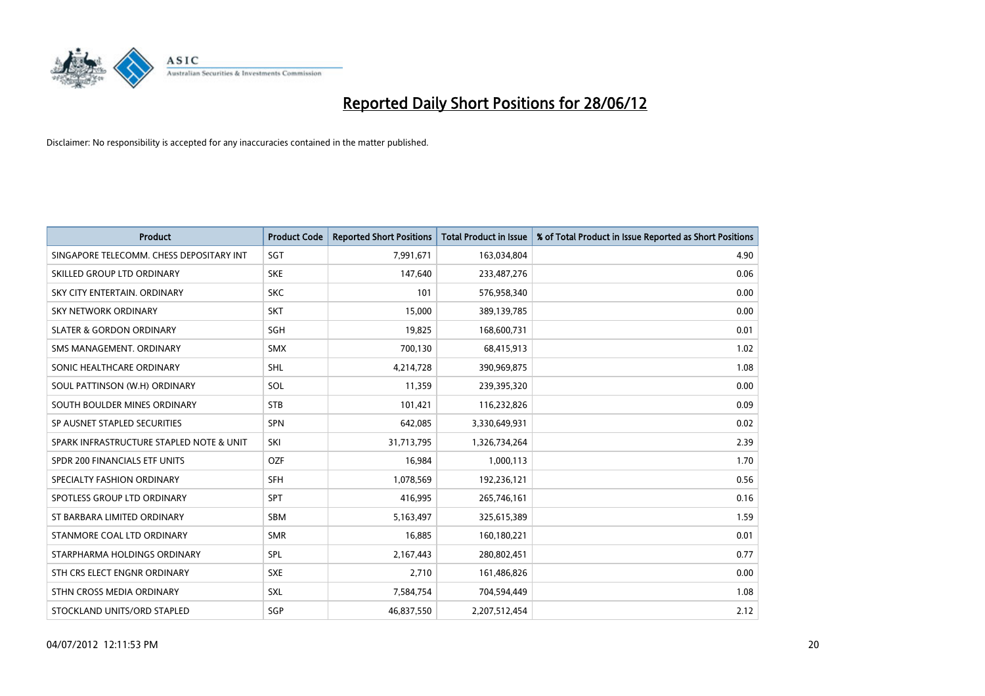

| <b>Product</b>                           | <b>Product Code</b> | <b>Reported Short Positions</b> | <b>Total Product in Issue</b> | % of Total Product in Issue Reported as Short Positions |
|------------------------------------------|---------------------|---------------------------------|-------------------------------|---------------------------------------------------------|
| SINGAPORE TELECOMM. CHESS DEPOSITARY INT | SGT                 | 7,991,671                       | 163,034,804                   | 4.90                                                    |
| SKILLED GROUP LTD ORDINARY               | <b>SKE</b>          | 147,640                         | 233,487,276                   | 0.06                                                    |
| SKY CITY ENTERTAIN, ORDINARY             | <b>SKC</b>          | 101                             | 576,958,340                   | 0.00                                                    |
| SKY NETWORK ORDINARY                     | <b>SKT</b>          | 15,000                          | 389,139,785                   | 0.00                                                    |
| <b>SLATER &amp; GORDON ORDINARY</b>      | SGH                 | 19,825                          | 168,600,731                   | 0.01                                                    |
| SMS MANAGEMENT, ORDINARY                 | <b>SMX</b>          | 700,130                         | 68,415,913                    | 1.02                                                    |
| SONIC HEALTHCARE ORDINARY                | <b>SHL</b>          | 4,214,728                       | 390,969,875                   | 1.08                                                    |
| SOUL PATTINSON (W.H) ORDINARY            | SOL                 | 11,359                          | 239,395,320                   | 0.00                                                    |
| SOUTH BOULDER MINES ORDINARY             | <b>STB</b>          | 101,421                         | 116,232,826                   | 0.09                                                    |
| SP AUSNET STAPLED SECURITIES             | <b>SPN</b>          | 642,085                         | 3,330,649,931                 | 0.02                                                    |
| SPARK INFRASTRUCTURE STAPLED NOTE & UNIT | SKI                 | 31,713,795                      | 1,326,734,264                 | 2.39                                                    |
| SPDR 200 FINANCIALS ETF UNITS            | <b>OZF</b>          | 16,984                          | 1,000,113                     | 1.70                                                    |
| SPECIALTY FASHION ORDINARY               | SFH                 | 1,078,569                       | 192,236,121                   | 0.56                                                    |
| SPOTLESS GROUP LTD ORDINARY              | <b>SPT</b>          | 416,995                         | 265,746,161                   | 0.16                                                    |
| ST BARBARA LIMITED ORDINARY              | <b>SBM</b>          | 5,163,497                       | 325,615,389                   | 1.59                                                    |
| STANMORE COAL LTD ORDINARY               | <b>SMR</b>          | 16,885                          | 160,180,221                   | 0.01                                                    |
| STARPHARMA HOLDINGS ORDINARY             | SPL                 | 2,167,443                       | 280,802,451                   | 0.77                                                    |
| STH CRS ELECT ENGNR ORDINARY             | <b>SXE</b>          | 2,710                           | 161,486,826                   | 0.00                                                    |
| STHN CROSS MEDIA ORDINARY                | <b>SXL</b>          | 7,584,754                       | 704,594,449                   | 1.08                                                    |
| STOCKLAND UNITS/ORD STAPLED              | SGP                 | 46,837,550                      | 2,207,512,454                 | 2.12                                                    |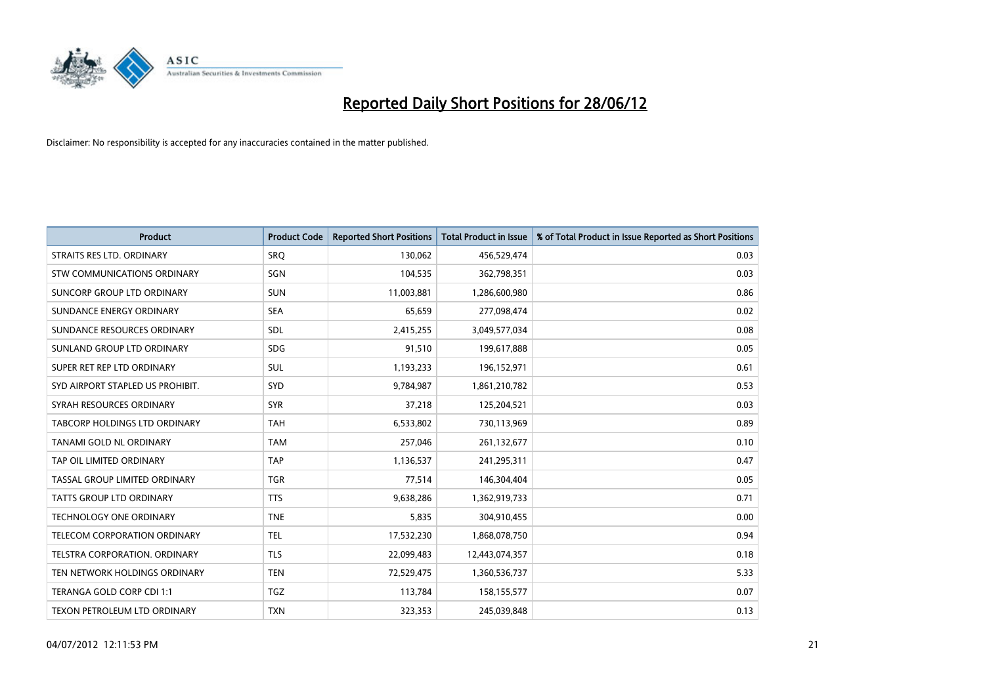

| <b>Product</b>                   | <b>Product Code</b> | <b>Reported Short Positions</b> | <b>Total Product in Issue</b> | % of Total Product in Issue Reported as Short Positions |
|----------------------------------|---------------------|---------------------------------|-------------------------------|---------------------------------------------------------|
| STRAITS RES LTD. ORDINARY        | SRO                 | 130,062                         | 456,529,474                   | 0.03                                                    |
| STW COMMUNICATIONS ORDINARY      | SGN                 | 104,535                         | 362,798,351                   | 0.03                                                    |
| SUNCORP GROUP LTD ORDINARY       | <b>SUN</b>          | 11,003,881                      | 1,286,600,980                 | 0.86                                                    |
| SUNDANCE ENERGY ORDINARY         | <b>SEA</b>          | 65,659                          | 277,098,474                   | 0.02                                                    |
| SUNDANCE RESOURCES ORDINARY      | <b>SDL</b>          | 2,415,255                       | 3,049,577,034                 | 0.08                                                    |
| SUNLAND GROUP LTD ORDINARY       | <b>SDG</b>          | 91,510                          | 199,617,888                   | 0.05                                                    |
| SUPER RET REP LTD ORDINARY       | SUL                 | 1,193,233                       | 196,152,971                   | 0.61                                                    |
| SYD AIRPORT STAPLED US PROHIBIT. | <b>SYD</b>          | 9,784,987                       | 1,861,210,782                 | 0.53                                                    |
| SYRAH RESOURCES ORDINARY         | <b>SYR</b>          | 37,218                          | 125,204,521                   | 0.03                                                    |
| TABCORP HOLDINGS LTD ORDINARY    | <b>TAH</b>          | 6,533,802                       | 730,113,969                   | 0.89                                                    |
| TANAMI GOLD NL ORDINARY          | <b>TAM</b>          | 257,046                         | 261,132,677                   | 0.10                                                    |
| TAP OIL LIMITED ORDINARY         | <b>TAP</b>          | 1,136,537                       | 241,295,311                   | 0.47                                                    |
| TASSAL GROUP LIMITED ORDINARY    | <b>TGR</b>          | 77,514                          | 146,304,404                   | 0.05                                                    |
| <b>TATTS GROUP LTD ORDINARY</b>  | <b>TTS</b>          | 9,638,286                       | 1,362,919,733                 | 0.71                                                    |
| <b>TECHNOLOGY ONE ORDINARY</b>   | <b>TNE</b>          | 5,835                           | 304,910,455                   | 0.00                                                    |
| TELECOM CORPORATION ORDINARY     | <b>TEL</b>          | 17,532,230                      | 1,868,078,750                 | 0.94                                                    |
| TELSTRA CORPORATION. ORDINARY    | <b>TLS</b>          | 22,099,483                      | 12,443,074,357                | 0.18                                                    |
| TEN NETWORK HOLDINGS ORDINARY    | <b>TEN</b>          | 72,529,475                      | 1,360,536,737                 | 5.33                                                    |
| TERANGA GOLD CORP CDI 1:1        | <b>TGZ</b>          | 113,784                         | 158,155,577                   | 0.07                                                    |
| TEXON PETROLEUM LTD ORDINARY     | <b>TXN</b>          | 323,353                         | 245,039,848                   | 0.13                                                    |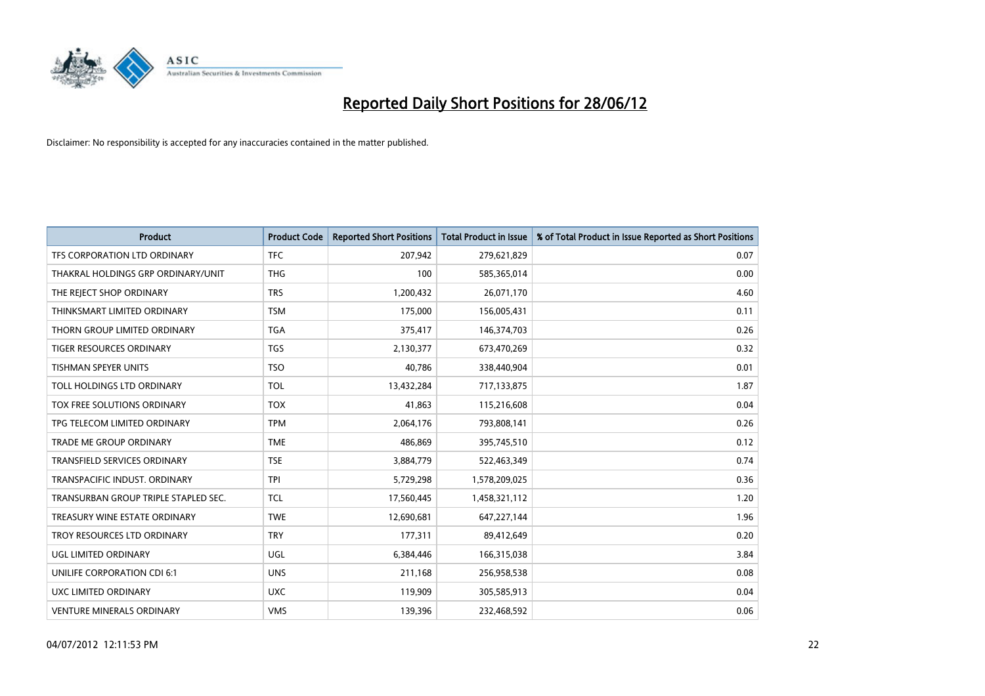

| <b>Product</b>                       | <b>Product Code</b> | <b>Reported Short Positions</b> | <b>Total Product in Issue</b> | % of Total Product in Issue Reported as Short Positions |
|--------------------------------------|---------------------|---------------------------------|-------------------------------|---------------------------------------------------------|
| TFS CORPORATION LTD ORDINARY         | <b>TFC</b>          | 207,942                         | 279,621,829                   | 0.07                                                    |
| THAKRAL HOLDINGS GRP ORDINARY/UNIT   | <b>THG</b>          | 100                             | 585,365,014                   | 0.00                                                    |
| THE REJECT SHOP ORDINARY             | <b>TRS</b>          | 1,200,432                       | 26,071,170                    | 4.60                                                    |
| THINKSMART LIMITED ORDINARY          | <b>TSM</b>          | 175,000                         | 156,005,431                   | 0.11                                                    |
| THORN GROUP LIMITED ORDINARY         | <b>TGA</b>          | 375,417                         | 146,374,703                   | 0.26                                                    |
| <b>TIGER RESOURCES ORDINARY</b>      | <b>TGS</b>          | 2,130,377                       | 673,470,269                   | 0.32                                                    |
| <b>TISHMAN SPEYER UNITS</b>          | <b>TSO</b>          | 40.786                          | 338,440,904                   | 0.01                                                    |
| TOLL HOLDINGS LTD ORDINARY           | <b>TOL</b>          | 13,432,284                      | 717,133,875                   | 1.87                                                    |
| TOX FREE SOLUTIONS ORDINARY          | <b>TOX</b>          | 41,863                          | 115,216,608                   | 0.04                                                    |
| TPG TELECOM LIMITED ORDINARY         | <b>TPM</b>          | 2,064,176                       | 793,808,141                   | 0.26                                                    |
| TRADE ME GROUP ORDINARY              | <b>TME</b>          | 486,869                         | 395,745,510                   | 0.12                                                    |
| <b>TRANSFIELD SERVICES ORDINARY</b>  | <b>TSE</b>          | 3,884,779                       | 522,463,349                   | 0.74                                                    |
| TRANSPACIFIC INDUST. ORDINARY        | <b>TPI</b>          | 5,729,298                       | 1,578,209,025                 | 0.36                                                    |
| TRANSURBAN GROUP TRIPLE STAPLED SEC. | TCL                 | 17,560,445                      | 1,458,321,112                 | 1.20                                                    |
| TREASURY WINE ESTATE ORDINARY        | <b>TWE</b>          | 12,690,681                      | 647,227,144                   | 1.96                                                    |
| TROY RESOURCES LTD ORDINARY          | <b>TRY</b>          | 177,311                         | 89,412,649                    | 0.20                                                    |
| UGL LIMITED ORDINARY                 | UGL                 | 6,384,446                       | 166,315,038                   | 3.84                                                    |
| UNILIFE CORPORATION CDI 6:1          | <b>UNS</b>          | 211,168                         | 256,958,538                   | 0.08                                                    |
| <b>UXC LIMITED ORDINARY</b>          | <b>UXC</b>          | 119,909                         | 305,585,913                   | 0.04                                                    |
| VENTURE MINERALS ORDINARY            | <b>VMS</b>          | 139,396                         | 232,468,592                   | 0.06                                                    |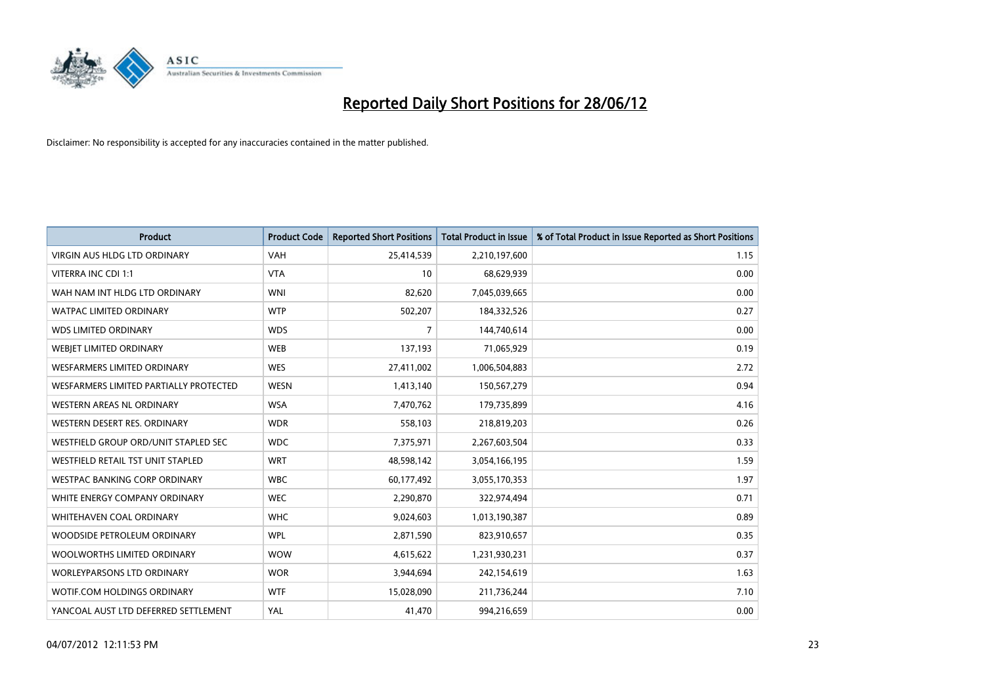

| <b>Product</b>                         | <b>Product Code</b> | <b>Reported Short Positions</b> | <b>Total Product in Issue</b> | % of Total Product in Issue Reported as Short Positions |
|----------------------------------------|---------------------|---------------------------------|-------------------------------|---------------------------------------------------------|
| VIRGIN AUS HLDG LTD ORDINARY           | <b>VAH</b>          | 25,414,539                      | 2,210,197,600                 | 1.15                                                    |
| VITERRA INC CDI 1:1                    | <b>VTA</b>          | 10                              | 68,629,939                    | 0.00                                                    |
| WAH NAM INT HLDG LTD ORDINARY          | <b>WNI</b>          | 82,620                          | 7,045,039,665                 | 0.00                                                    |
| <b>WATPAC LIMITED ORDINARY</b>         | <b>WTP</b>          | 502,207                         | 184,332,526                   | 0.27                                                    |
| <b>WDS LIMITED ORDINARY</b>            | <b>WDS</b>          | $\overline{7}$                  | 144,740,614                   | 0.00                                                    |
| WEBJET LIMITED ORDINARY                | <b>WEB</b>          | 137,193                         | 71,065,929                    | 0.19                                                    |
| <b>WESFARMERS LIMITED ORDINARY</b>     | <b>WES</b>          | 27,411,002                      | 1,006,504,883                 | 2.72                                                    |
| WESFARMERS LIMITED PARTIALLY PROTECTED | <b>WESN</b>         | 1,413,140                       | 150,567,279                   | 0.94                                                    |
| <b>WESTERN AREAS NL ORDINARY</b>       | <b>WSA</b>          | 7,470,762                       | 179,735,899                   | 4.16                                                    |
| WESTERN DESERT RES. ORDINARY           | <b>WDR</b>          | 558,103                         | 218,819,203                   | 0.26                                                    |
| WESTFIELD GROUP ORD/UNIT STAPLED SEC   | <b>WDC</b>          | 7,375,971                       | 2,267,603,504                 | 0.33                                                    |
| WESTFIELD RETAIL TST UNIT STAPLED      | <b>WRT</b>          | 48,598,142                      | 3,054,166,195                 | 1.59                                                    |
| <b>WESTPAC BANKING CORP ORDINARY</b>   | <b>WBC</b>          | 60,177,492                      | 3,055,170,353                 | 1.97                                                    |
| WHITE ENERGY COMPANY ORDINARY          | <b>WEC</b>          | 2,290,870                       | 322,974,494                   | 0.71                                                    |
| WHITEHAVEN COAL ORDINARY               | <b>WHC</b>          | 9,024,603                       | 1,013,190,387                 | 0.89                                                    |
| WOODSIDE PETROLEUM ORDINARY            | <b>WPL</b>          | 2,871,590                       | 823,910,657                   | 0.35                                                    |
| WOOLWORTHS LIMITED ORDINARY            | <b>WOW</b>          | 4,615,622                       | 1,231,930,231                 | 0.37                                                    |
| WORLEYPARSONS LTD ORDINARY             | <b>WOR</b>          | 3,944,694                       | 242,154,619                   | 1.63                                                    |
| WOTIF.COM HOLDINGS ORDINARY            | <b>WTF</b>          | 15,028,090                      | 211,736,244                   | 7.10                                                    |
| YANCOAL AUST LTD DEFERRED SETTLEMENT   | YAL                 | 41,470                          | 994,216,659                   | 0.00                                                    |